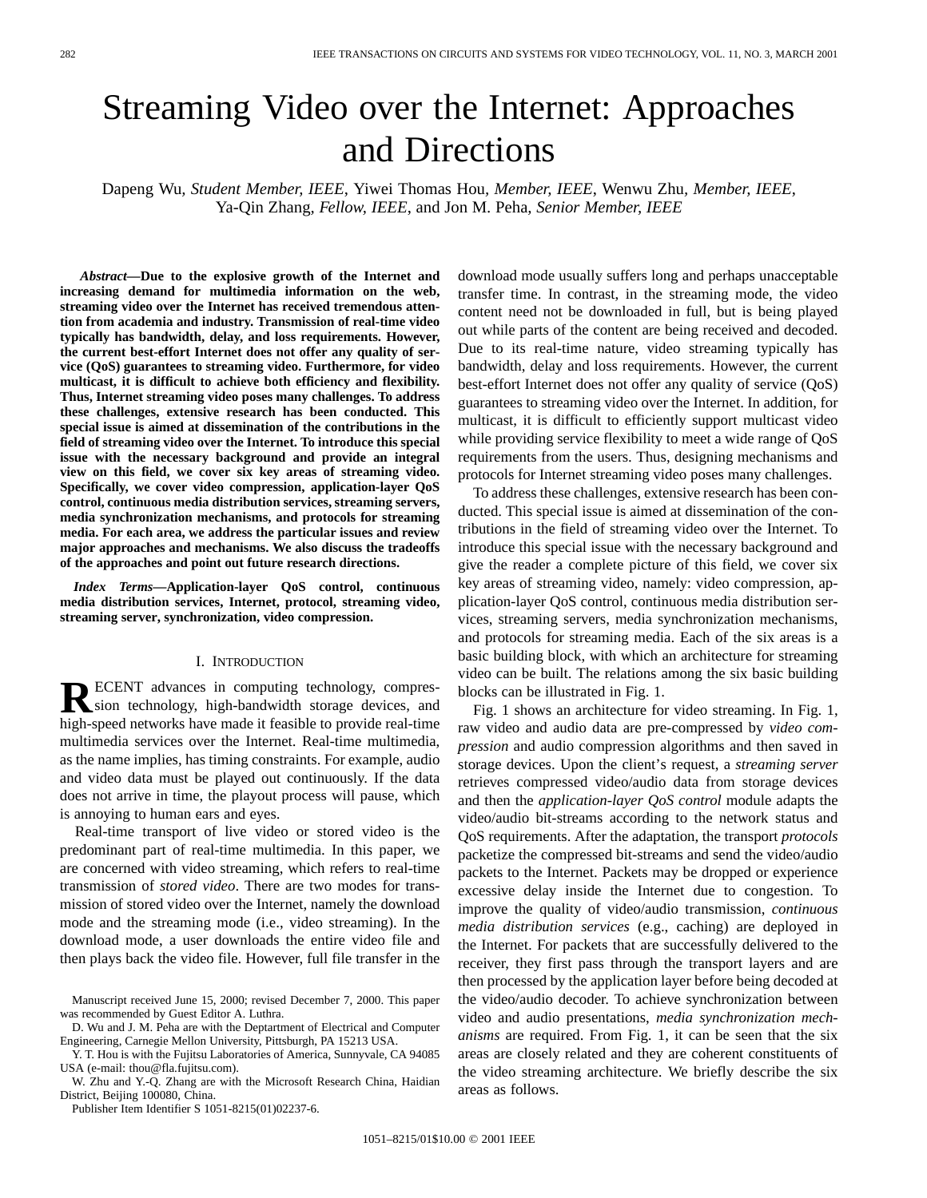# Streaming Video over the Internet: Approaches and Directions

Dapeng Wu*, Student Member, IEEE*, Yiwei Thomas Hou*, Member, IEEE*, Wenwu Zhu*, Member, IEEE*, Ya-Qin Zhang*, Fellow, IEEE*, and Jon M. Peha*, Senior Member, IEEE*

*Abstract—***Due to the explosive growth of the Internet and increasing demand for multimedia information on the web, streaming video over the Internet has received tremendous attention from academia and industry. Transmission of real-time video typically has bandwidth, delay, and loss requirements. However, the current best-effort Internet does not offer any quality of service (QoS) guarantees to streaming video. Furthermore, for video multicast, it is difficult to achieve both efficiency and flexibility. Thus, Internet streaming video poses many challenges. To address these challenges, extensive research has been conducted. This special issue is aimed at dissemination of the contributions in the field of streaming video over the Internet. To introduce this special issue with the necessary background and provide an integral view on this field, we cover six key areas of streaming video. Specifically, we cover video compression, application-layer QoS control, continuous media distribution services, streaming servers, media synchronization mechanisms, and protocols for streaming media. For each area, we address the particular issues and review major approaches and mechanisms. We also discuss the tradeoffs of the approaches and point out future research directions.**

*Index Terms—***Application-layer QoS control, continuous media distribution services, Internet, protocol, streaming video, streaming server, synchronization, video compression.**

## I. INTRODUCTION

**RECENT** advances in computing technology, compression technology, high-bandwidth storage devices, and high-speed networks have made it feasible to provide real-time multimedia services over the Internet. Real-time multimedia, as the name implies, has timing constraints. For example, audio and video data must be played out continuously. If the data does not arrive in time, the playout process will pause, which is annoying to human ears and eyes.

Real-time transport of live video or stored video is the predominant part of real-time multimedia. In this paper, we are concerned with video streaming, which refers to real-time transmission of *stored video*. There are two modes for transmission of stored video over the Internet, namely the download mode and the streaming mode (i.e., video streaming). In the download mode, a user downloads the entire video file and then plays back the video file. However, full file transfer in the

D. Wu and J. M. Peha are with the Deptartment of Electrical and Computer Engineering, Carnegie Mellon University, Pittsburgh, PA 15213 USA.

Y. T. Hou is with the Fujitsu Laboratories of America, Sunnyvale, CA 94085 USA (e-mail: thou@fla.fujitsu.com).

W. Zhu and Y.-Q. Zhang are with the Microsoft Research China, Haidian District, Beijing 100080, China.

Publisher Item Identifier S 1051-8215(01)02237-6.

download mode usually suffers long and perhaps unacceptable transfer time. In contrast, in the streaming mode, the video content need not be downloaded in full, but is being played out while parts of the content are being received and decoded. Due to its real-time nature, video streaming typically has bandwidth, delay and loss requirements. However, the current best-effort Internet does not offer any quality of service (QoS) guarantees to streaming video over the Internet. In addition, for multicast, it is difficult to efficiently support multicast video while providing service flexibility to meet a wide range of QoS requirements from the users. Thus, designing mechanisms and protocols for Internet streaming video poses many challenges.

To address these challenges, extensive research has been conducted. This special issue is aimed at dissemination of the contributions in the field of streaming video over the Internet. To introduce this special issue with the necessary background and give the reader a complete picture of this field, we cover six key areas of streaming video, namely: video compression, application-layer QoS control, continuous media distribution services, streaming servers, media synchronization mechanisms, and protocols for streaming media. Each of the six areas is a basic building block, with which an architecture for streaming video can be built. The relations among the six basic building blocks can be illustrated in Fig. 1.

Fig. 1 shows an architecture for video streaming. In Fig. 1, raw video and audio data are pre-compressed by *video compression* and audio compression algorithms and then saved in storage devices. Upon the client's request, a *streaming server* retrieves compressed video/audio data from storage devices and then the *application-layer QoS control* module adapts the video/audio bit-streams according to the network status and QoS requirements. After the adaptation, the transport *protocols* packetize the compressed bit-streams and send the video/audio packets to the Internet. Packets may be dropped or experience excessive delay inside the Internet due to congestion. To improve the quality of video/audio transmission, *continuous media distribution services* (e.g., caching) are deployed in the Internet. For packets that are successfully delivered to the receiver, they first pass through the transport layers and are then processed by the application layer before being decoded at the video/audio decoder. To achieve synchronization between video and audio presentations, *media synchronization mechanisms* are required. From Fig. 1, it can be seen that the six areas are closely related and they are coherent constituents of the video streaming architecture. We briefly describe the six areas as follows.

Manuscript received June 15, 2000; revised December 7, 2000. This paper was recommended by Guest Editor A. Luthra.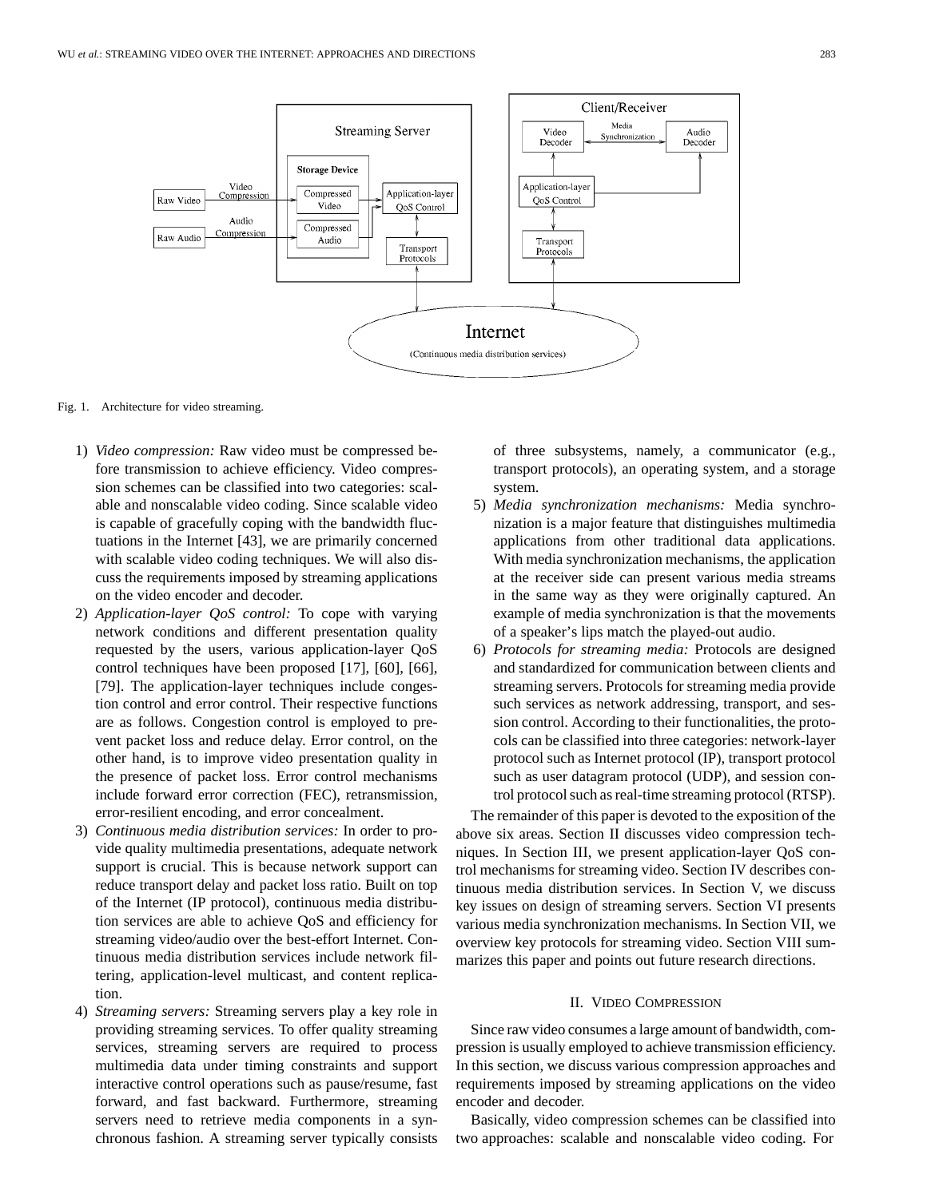

Fig. 1. Architecture for video streaming.

- 1) *Video compression:* Raw video must be compressed before transmission to achieve efficiency. Video compression schemes can be classified into two categories: scalable and nonscalable video coding. Since scalable video is capable of gracefully coping with the bandwidth fluctuations in the Internet [43], we are primarily concerned with scalable video coding techniques. We will also discuss the requirements imposed by streaming applications on the video encoder and decoder.
- 2) *Application-layer QoS control:* To cope with varying network conditions and different presentation quality requested by the users, various application-layer QoS control techniques have been proposed [17], [60], [66], [79]. The application-layer techniques include congestion control and error control. Their respective functions are as follows. Congestion control is employed to prevent packet loss and reduce delay. Error control, on the other hand, is to improve video presentation quality in the presence of packet loss. Error control mechanisms include forward error correction (FEC), retransmission, error-resilient encoding, and error concealment.
- 3) *Continuous media distribution services:* In order to provide quality multimedia presentations, adequate network support is crucial. This is because network support can reduce transport delay and packet loss ratio. Built on top of the Internet (IP protocol), continuous media distribution services are able to achieve QoS and efficiency for streaming video/audio over the best-effort Internet. Continuous media distribution services include network filtering, application-level multicast, and content replication.
- 4) *Streaming servers:* Streaming servers play a key role in providing streaming services. To offer quality streaming services, streaming servers are required to process multimedia data under timing constraints and support interactive control operations such as pause/resume, fast forward, and fast backward. Furthermore, streaming servers need to retrieve media components in a synchronous fashion. A streaming server typically consists

of three subsystems, namely, a communicator (e.g., transport protocols), an operating system, and a storage system.

- 5) *Media synchronization mechanisms:* Media synchronization is a major feature that distinguishes multimedia applications from other traditional data applications. With media synchronization mechanisms, the application at the receiver side can present various media streams in the same way as they were originally captured. An example of media synchronization is that the movements of a speaker's lips match the played-out audio.
- 6) *Protocols for streaming media:* Protocols are designed and standardized for communication between clients and streaming servers. Protocols for streaming media provide such services as network addressing, transport, and session control. According to their functionalities, the protocols can be classified into three categories: network-layer protocol such as Internet protocol (IP), transport protocol such as user datagram protocol (UDP), and session control protocol such as real-time streaming protocol (RTSP).

The remainder of this paper is devoted to the exposition of the above six areas. Section II discusses video compression techniques. In Section III, we present application-layer QoS control mechanisms for streaming video. Section IV describes continuous media distribution services. In Section V, we discuss key issues on design of streaming servers. Section VI presents various media synchronization mechanisms. In Section VII, we overview key protocols for streaming video. Section VIII summarizes this paper and points out future research directions.

# II. VIDEO COMPRESSION

Since raw video consumes a large amount of bandwidth, compression is usually employed to achieve transmission efficiency. In this section, we discuss various compression approaches and requirements imposed by streaming applications on the video encoder and decoder.

Basically, video compression schemes can be classified into two approaches: scalable and nonscalable video coding. For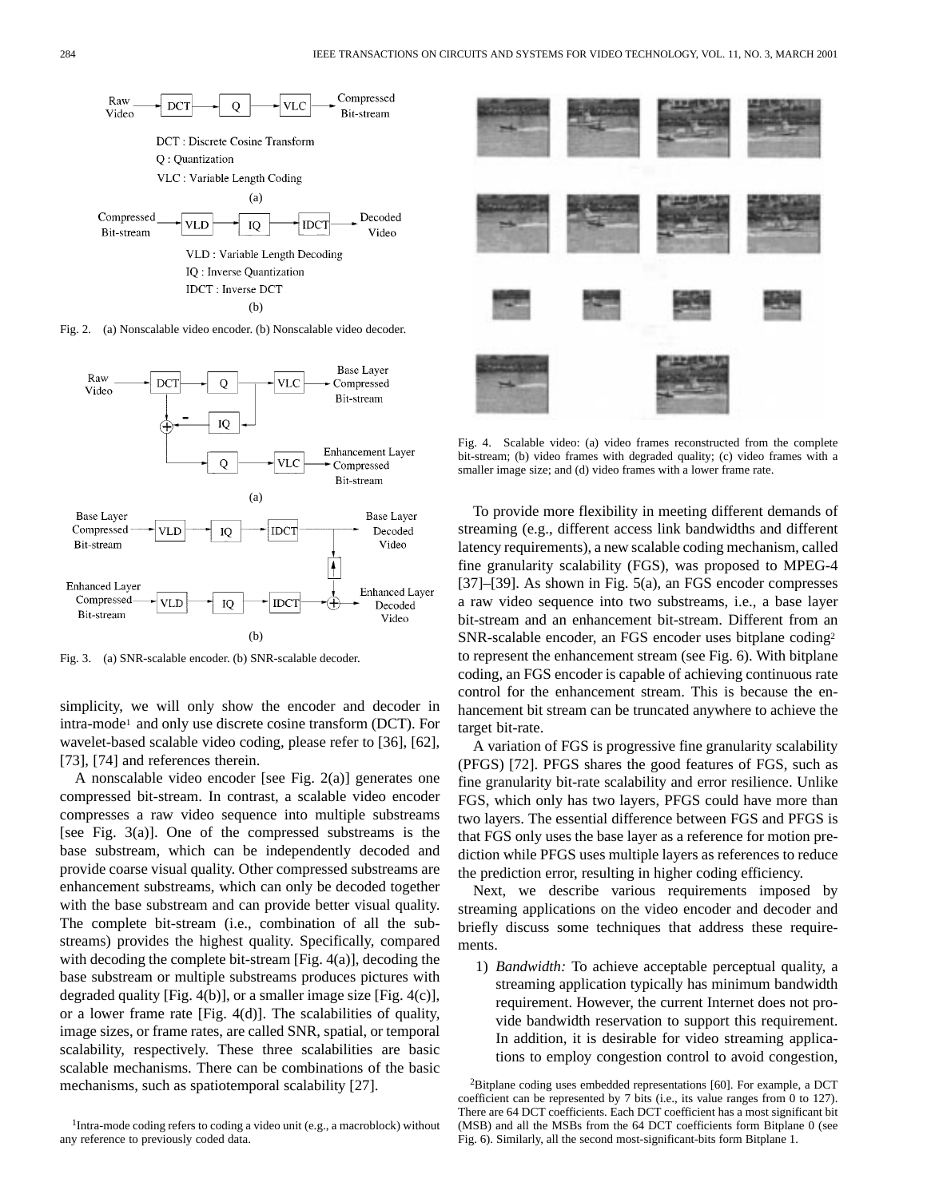

Fig. 2. (a) Nonscalable video encoder. (b) Nonscalable video decoder.



Fig. 3. (a) SNR-scalable encoder. (b) SNR-scalable decoder.

simplicity, we will only show the encoder and decoder in intra-mode1 and only use discrete cosine transform (DCT). For wavelet-based scalable video coding, please refer to [36], [62], [73], [74] and references therein.

A nonscalable video encoder [see Fig. 2(a)] generates one compressed bit-stream. In contrast, a scalable video encoder compresses a raw video sequence into multiple substreams [see Fig. 3(a)]. One of the compressed substreams is the base substream, which can be independently decoded and provide coarse visual quality. Other compressed substreams are enhancement substreams, which can only be decoded together with the base substream and can provide better visual quality. The complete bit-stream (i.e., combination of all the substreams) provides the highest quality. Specifically, compared with decoding the complete bit-stream [Fig. 4(a)], decoding the base substream or multiple substreams produces pictures with degraded quality [Fig. 4(b)], or a smaller image size [Fig. 4(c)], or a lower frame rate [Fig. 4(d)]. The scalabilities of quality, image sizes, or frame rates, are called SNR, spatial, or temporal scalability, respectively. These three scalabilities are basic scalable mechanisms. There can be combinations of the basic mechanisms, such as spatiotemporal scalability [27].



Fig. 4. Scalable video: (a) video frames reconstructed from the complete bit-stream; (b) video frames with degraded quality; (c) video frames with a smaller image size; and (d) video frames with a lower frame rate.

To provide more flexibility in meeting different demands of streaming (e.g., different access link bandwidths and different latency requirements), a new scalable coding mechanism, called fine granularity scalability (FGS), was proposed to MPEG-4 [37]–[39]. As shown in Fig. 5(a), an FGS encoder compresses a raw video sequence into two substreams, i.e., a base layer bit-stream and an enhancement bit-stream. Different from an SNR-scalable encoder, an FGS encoder uses bitplane coding2 to represent the enhancement stream (see Fig. 6). With bitplane coding, an FGS encoder is capable of achieving continuous rate control for the enhancement stream. This is because the enhancement bit stream can be truncated anywhere to achieve the target bit-rate.

A variation of FGS is progressive fine granularity scalability (PFGS) [72]. PFGS shares the good features of FGS, such as fine granularity bit-rate scalability and error resilience. Unlike FGS, which only has two layers, PFGS could have more than two layers. The essential difference between FGS and PFGS is that FGS only uses the base layer as a reference for motion prediction while PFGS uses multiple layers as references to reduce the prediction error, resulting in higher coding efficiency.

Next, we describe various requirements imposed by streaming applications on the video encoder and decoder and briefly discuss some techniques that address these requirements.

1) *Bandwidth:* To achieve acceptable perceptual quality, a streaming application typically has minimum bandwidth requirement. However, the current Internet does not provide bandwidth reservation to support this requirement. In addition, it is desirable for video streaming applications to employ congestion control to avoid congestion,

<sup>1</sup>Intra-mode coding refers to coding a video unit (e.g., a macroblock) without any reference to previously coded data.

<sup>2</sup>Bitplane coding uses embedded representations [60]. For example, a DCT coefficient can be represented by 7 bits (i.e., its value ranges from 0 to 127). There are 64 DCT coefficients. Each DCT coefficient has a most significant bit (MSB) and all the MSBs from the 64 DCT coefficients form Bitplane 0 (see Fig. 6). Similarly, all the second most-significant-bits form Bitplane 1.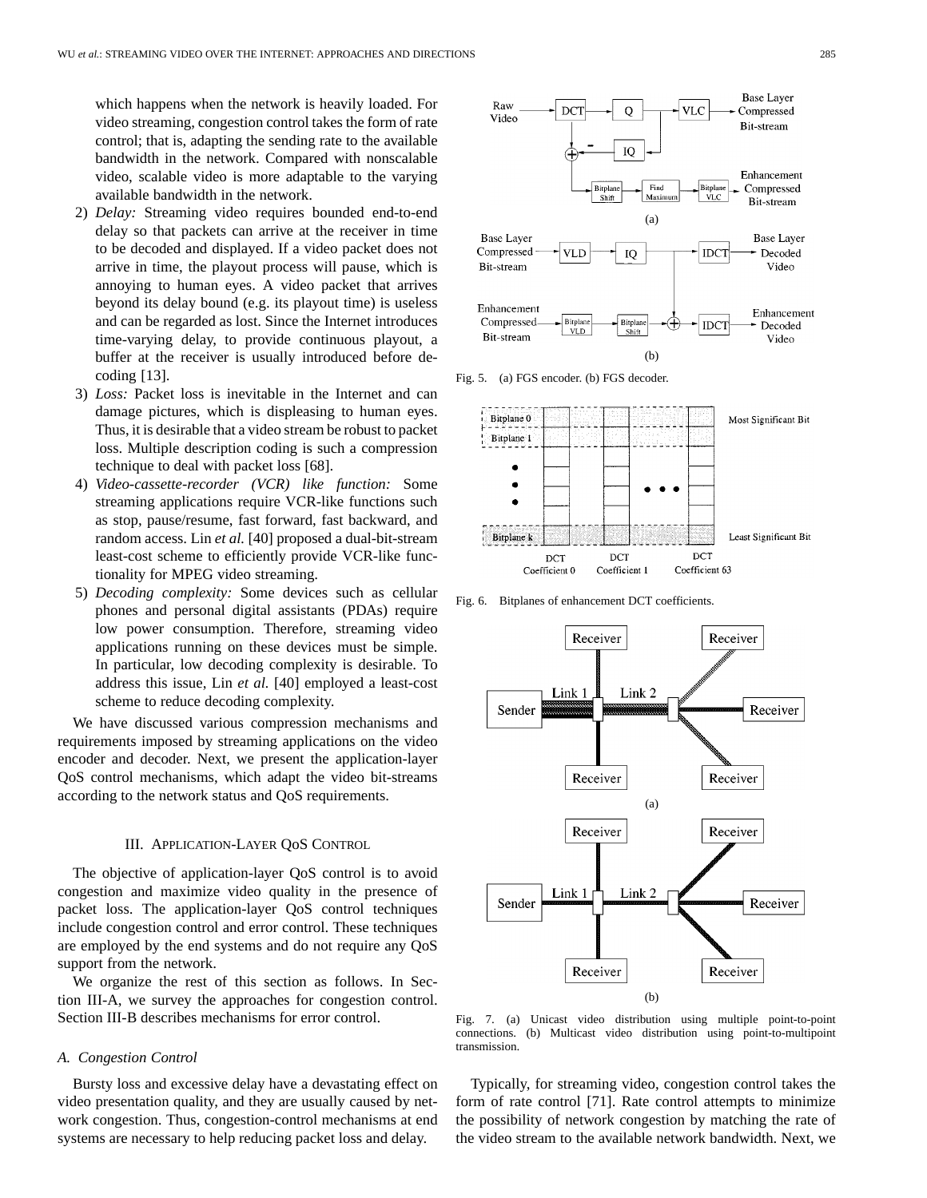which happens when the network is heavily loaded. For video streaming, congestion control takes the form of rate control; that is, adapting the sending rate to the available bandwidth in the network. Compared with nonscalable video, scalable video is more adaptable to the varying available bandwidth in the network.

- 2) *Delay:* Streaming video requires bounded end-to-end delay so that packets can arrive at the receiver in time to be decoded and displayed. If a video packet does not arrive in time, the playout process will pause, which is annoying to human eyes. A video packet that arrives beyond its delay bound (e.g. its playout time) is useless and can be regarded as lost. Since the Internet introduces time-varying delay, to provide continuous playout, a buffer at the receiver is usually introduced before decoding [13].
- 3) *Loss:* Packet loss is inevitable in the Internet and can damage pictures, which is displeasing to human eyes. Thus, it is desirable that a video stream be robust to packet loss. Multiple description coding is such a compression technique to deal with packet loss [68].
- 4) *Video-cassette-recorder (VCR) like function:* Some streaming applications require VCR-like functions such as stop, pause/resume, fast forward, fast backward, and random access. Lin *et al.* [40] proposed a dual-bit-stream least-cost scheme to efficiently provide VCR-like functionality for MPEG video streaming.
- 5) *Decoding complexity:* Some devices such as cellular phones and personal digital assistants (PDAs) require low power consumption. Therefore, streaming video applications running on these devices must be simple. In particular, low decoding complexity is desirable. To address this issue, Lin *et al.* [40] employed a least-cost scheme to reduce decoding complexity.

We have discussed various compression mechanisms and requirements imposed by streaming applications on the video encoder and decoder. Next, we present the application-layer QoS control mechanisms, which adapt the video bit-streams according to the network status and QoS requirements.

# III. APPLICATION-LAYER QoS CONTROL

The objective of application-layer QoS control is to avoid congestion and maximize video quality in the presence of packet loss. The application-layer QoS control techniques include congestion control and error control. These techniques are employed by the end systems and do not require any QoS support from the network.

We organize the rest of this section as follows. In Section III-A, we survey the approaches for congestion control. Section III-B describes mechanisms for error control.

# *A. Congestion Control*

Bursty loss and excessive delay have a devastating effect on video presentation quality, and they are usually caused by network congestion. Thus, congestion-control mechanisms at end systems are necessary to help reducing packet loss and delay.



Fig. 5. (a) FGS encoder. (b) FGS decoder.



Fig. 6. Bitplanes of enhancement DCT coefficients.



Fig. 7. (a) Unicast video distribution using multiple point-to-point connections. (b) Multicast video distribution using point-to-multipoint transmission.

Typically, for streaming video, congestion control takes the form of rate control [71]. Rate control attempts to minimize the possibility of network congestion by matching the rate of the video stream to the available network bandwidth. Next, we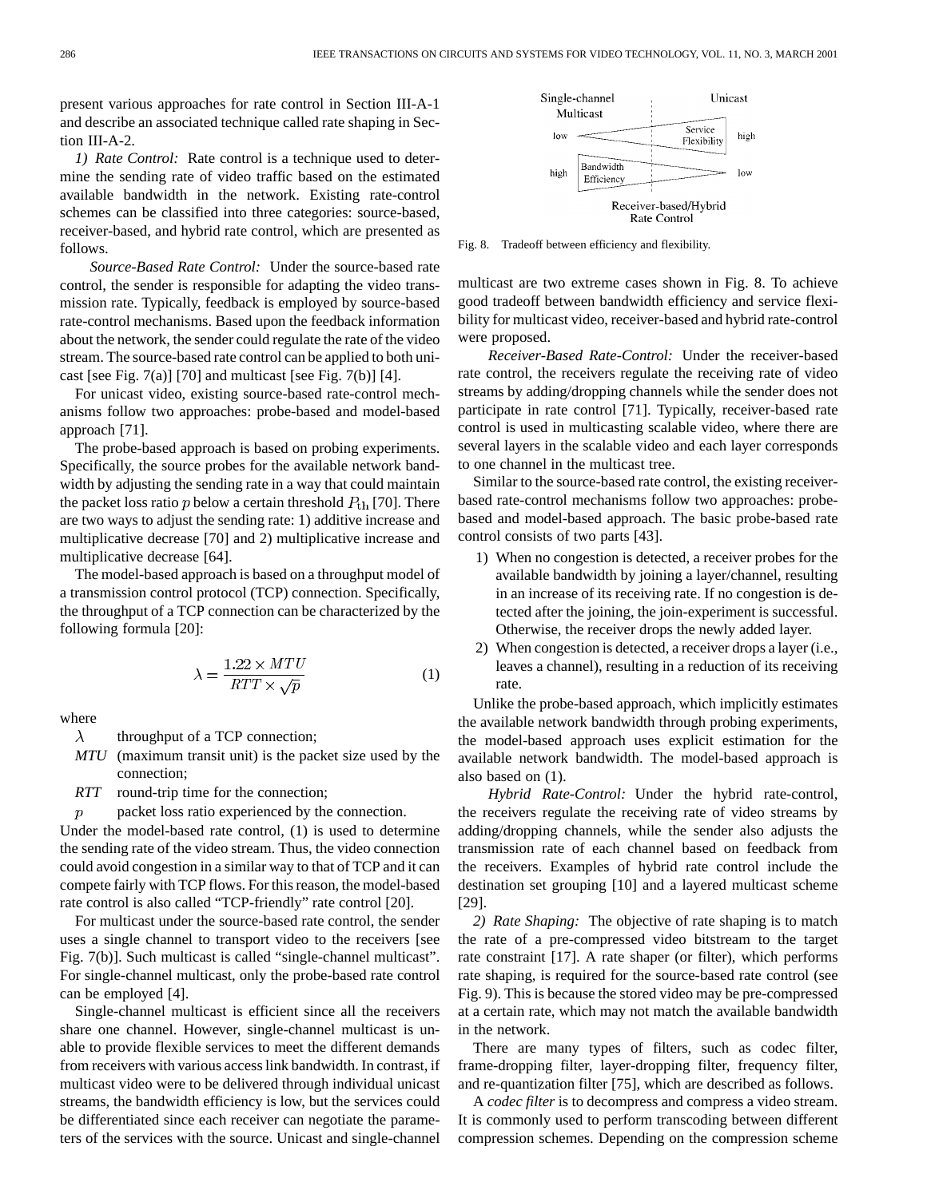present various approaches for rate control in Section III-A-1 and describe an associated technique called rate shaping in Section III-A-2.

*1) Rate Control:* Rate control is a technique used to determine the sending rate of video traffic based on the estimated available bandwidth in the network. Existing rate-control schemes can be classified into three categories: source-based, receiver-based, and hybrid rate control, which are presented as follows.

*Source-Based Rate Control:* Under the source-based rate control, the sender is responsible for adapting the video transmission rate. Typically, feedback is employed by source-based rate-control mechanisms. Based upon the feedback information about the network, the sender could regulate the rate of the video stream. The source-based rate control can be applied to both unicast [see Fig. 7(a)] [70] and multicast [see Fig. 7(b)] [4].

For unicast video, existing source-based rate-control mechanisms follow two approaches: probe-based and model-based approach [71].

The probe-based approach is based on probing experiments. Specifically, the source probes for the available network bandwidth by adjusting the sending rate in a way that could maintain the packet loss ratio p below a certain threshold  $P_{th}$  [70]. There are two ways to adjust the sending rate: 1) additive increase and multiplicative decrease [70] and 2) multiplicative increase and multiplicative decrease [64].

The model-based approach is based on a throughput model of a transmission control protocol (TCP) connection. Specifically, the throughput of a TCP connection can be characterized by the following formula [20]:

$$
\lambda = \frac{1.22 \times MTU}{RTT \times \sqrt{p}} \tag{1}
$$

where

- $\lambda$ throughput of a TCP connection;
- *MTU* (maximum transit unit) is the packet size used by the connection;
- *RTT* round-trip time for the connection;

 $\overline{p}$ packet loss ratio experienced by the connection.

Under the model-based rate control, (1) is used to determine the sending rate of the video stream. Thus, the video connection could avoid congestion in a similar way to that of TCP and it can compete fairly with TCP flows. For this reason, the model-based rate control is also called "TCP-friendly" rate control [20].

For multicast under the source-based rate control, the sender uses a single channel to transport video to the receivers [see Fig. 7(b)]. Such multicast is called "single-channel multicast". For single-channel multicast, only the probe-based rate control can be employed [4].

Single-channel multicast is efficient since all the receivers share one channel. However, single-channel multicast is unable to provide flexible services to meet the different demands from receivers with various access link bandwidth. In contrast, if multicast video were to be delivered through individual unicast streams, the bandwidth efficiency is low, but the services could be differentiated since each receiver can negotiate the parameters of the services with the source. Unicast and single-channel



Fig. 8. Tradeoff between efficiency and flexibility.

multicast are two extreme cases shown in Fig. 8. To achieve good tradeoff between bandwidth efficiency and service flexibility for multicast video, receiver-based and hybrid rate-control were proposed.

*Receiver-Based Rate-Control:* Under the receiver-based rate control, the receivers regulate the receiving rate of video streams by adding/dropping channels while the sender does not participate in rate control [71]. Typically, receiver-based rate control is used in multicasting scalable video, where there are several layers in the scalable video and each layer corresponds to one channel in the multicast tree.

Similar to the source-based rate control, the existing receiverbased rate-control mechanisms follow two approaches: probebased and model-based approach. The basic probe-based rate control consists of two parts [43].

- 1) When no congestion is detected, a receiver probes for the available bandwidth by joining a layer/channel, resulting in an increase of its receiving rate. If no congestion is detected after the joining, the join-experiment is successful. Otherwise, the receiver drops the newly added layer.
- 2) When congestion is detected, a receiver drops a layer (i.e., leaves a channel), resulting in a reduction of its receiving rate.

Unlike the probe-based approach, which implicitly estimates the available network bandwidth through probing experiments, the model-based approach uses explicit estimation for the available network bandwidth. The model-based approach is also based on (1).

*Hybrid Rate-Control:* Under the hybrid rate-control, the receivers regulate the receiving rate of video streams by adding/dropping channels, while the sender also adjusts the transmission rate of each channel based on feedback from the receivers. Examples of hybrid rate control include the destination set grouping [10] and a layered multicast scheme [29].

*2) Rate Shaping:* The objective of rate shaping is to match the rate of a pre-compressed video bitstream to the target rate constraint [17]. A rate shaper (or filter), which performs rate shaping, is required for the source-based rate control (see Fig. 9). This is because the stored video may be pre-compressed at a certain rate, which may not match the available bandwidth in the network.

There are many types of filters, such as codec filter, frame-dropping filter, layer-dropping filter, frequency filter, and re-quantization filter [75], which are described as follows.

A *codec filter* is to decompress and compress a video stream. It is commonly used to perform transcoding between different compression schemes. Depending on the compression scheme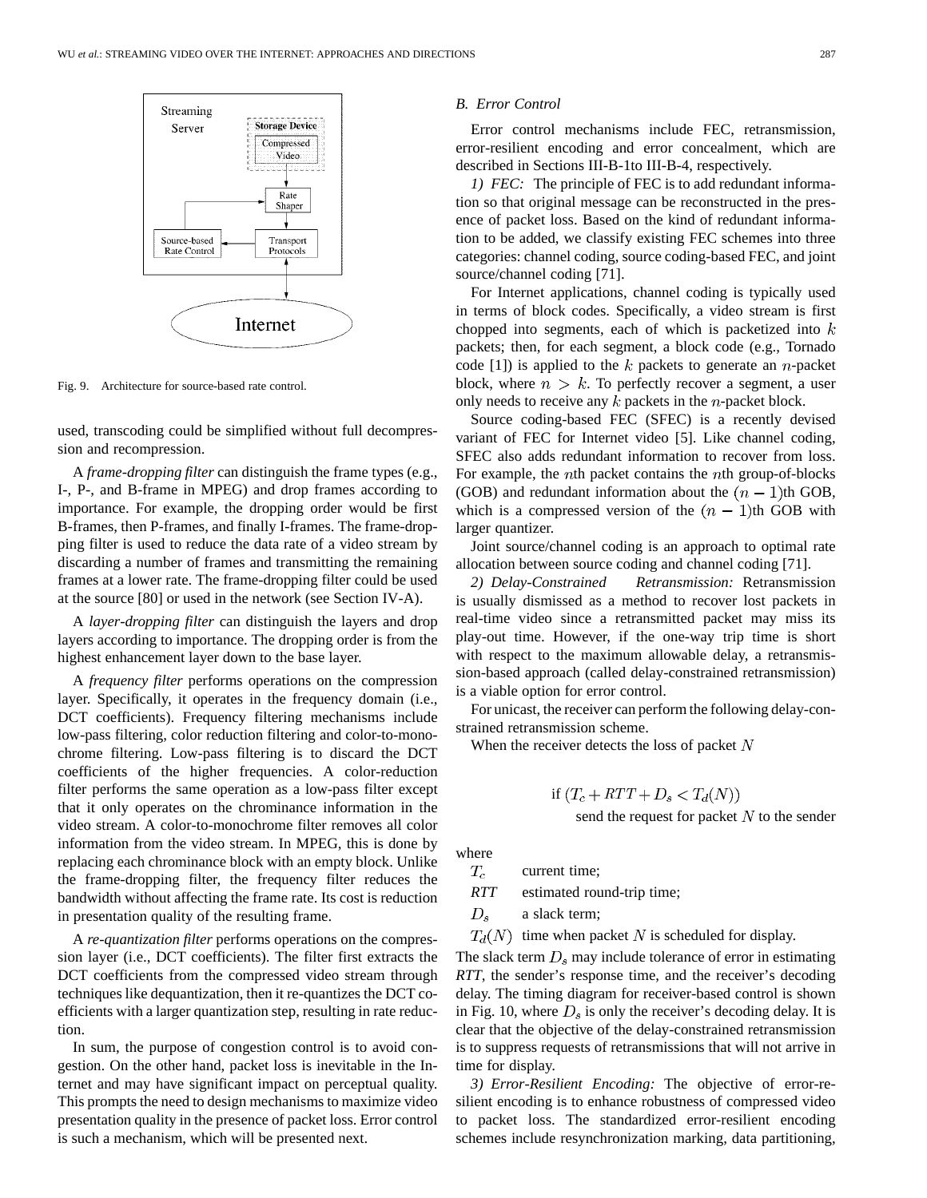

Fig. 9. Architecture for source-based rate control.

used, transcoding could be simplified without full decompression and recompression.

A *frame-dropping filter* can distinguish the frame types (e.g., I-, P-, and B-frame in MPEG) and drop frames according to importance. For example, the dropping order would be first B-frames, then P-frames, and finally I-frames. The frame-dropping filter is used to reduce the data rate of a video stream by discarding a number of frames and transmitting the remaining frames at a lower rate. The frame-dropping filter could be used at the source [80] or used in the network (see Section IV-A).

A *layer-dropping filter* can distinguish the layers and drop layers according to importance. The dropping order is from the highest enhancement layer down to the base layer.

A *frequency filter* performs operations on the compression layer. Specifically, it operates in the frequency domain (i.e., DCT coefficients). Frequency filtering mechanisms include low-pass filtering, color reduction filtering and color-to-monochrome filtering. Low-pass filtering is to discard the DCT coefficients of the higher frequencies. A color-reduction filter performs the same operation as a low-pass filter except that it only operates on the chrominance information in the video stream. A color-to-monochrome filter removes all color information from the video stream. In MPEG, this is done by replacing each chrominance block with an empty block. Unlike the frame-dropping filter, the frequency filter reduces the bandwidth without affecting the frame rate. Its cost is reduction in presentation quality of the resulting frame.

A *re-quantization filter* performs operations on the compression layer (i.e., DCT coefficients). The filter first extracts the DCT coefficients from the compressed video stream through techniques like dequantization, then it re-quantizes the DCT coefficients with a larger quantization step, resulting in rate reduction.

In sum, the purpose of congestion control is to avoid congestion. On the other hand, packet loss is inevitable in the Internet and may have significant impact on perceptual quality. This prompts the need to design mechanisms to maximize video presentation quality in the presence of packet loss. Error control is such a mechanism, which will be presented next.

# *B. Error Control*

Error control mechanisms include FEC, retransmission, error-resilient encoding and error concealment, which are described in Sections III-B-1to III-B-4, respectively.

*1) FEC:* The principle of FEC is to add redundant information so that original message can be reconstructed in the presence of packet loss. Based on the kind of redundant information to be added, we classify existing FEC schemes into three categories: channel coding, source coding-based FEC, and joint source/channel coding [71].

For Internet applications, channel coding is typically used in terms of block codes. Specifically, a video stream is first chopped into segments, each of which is packetized into  $k$ packets; then, for each segment, a block code (e.g., Tornado code [1]) is applied to the  $k$  packets to generate an  $n$ -packet block, where  $n > k$ . To perfectly recover a segment, a user only needs to receive any  $k$  packets in the  $n$ -packet block.

Source coding-based FEC (SFEC) is a recently devised variant of FEC for Internet video [5]. Like channel coding, SFEC also adds redundant information to recover from loss. For example, the *th packet contains the*  $*n*$ *th group-of-blocks* (GOB) and redundant information about the  $(n - 1)$ th GOB, which is a compressed version of the  $(n - 1)$ th GOB with larger quantizer.

Joint source/channel coding is an approach to optimal rate allocation between source coding and channel coding [71].

*2) Delay-Constrained Retransmission:* Retransmission is usually dismissed as a method to recover lost packets in real-time video since a retransmitted packet may miss its play-out time. However, if the one-way trip time is short with respect to the maximum allowable delay, a retransmission-based approach (called delay-constrained retransmission) is a viable option for error control.

For unicast, the receiver can perform the following delay-constrained retransmission scheme.

When the receiver detects the loss of packet  $N$ 

if 
$$
(T_c + RTT + D_s < T_d(N))
$$
  
send the request for packet N to the send

send the request for packet  $N$  to the sender

where

 $T_c\,$ current time;

*RTT* estimated round-trip time;

 $D_{s}$ a slack term;

 $T_d(N)$  time when packet N is scheduled for display.

The slack term  $D_s$  may include tolerance of error in estimating *RTT*, the sender's response time, and the receiver's decoding delay. The timing diagram for receiver-based control is shown in Fig. 10, where  $D_s$  is only the receiver's decoding delay. It is clear that the objective of the delay-constrained retransmission is to suppress requests of retransmissions that will not arrive in time for display.

*3) Error-Resilient Encoding:* The objective of error-resilient encoding is to enhance robustness of compressed video to packet loss. The standardized error-resilient encoding schemes include resynchronization marking, data partitioning,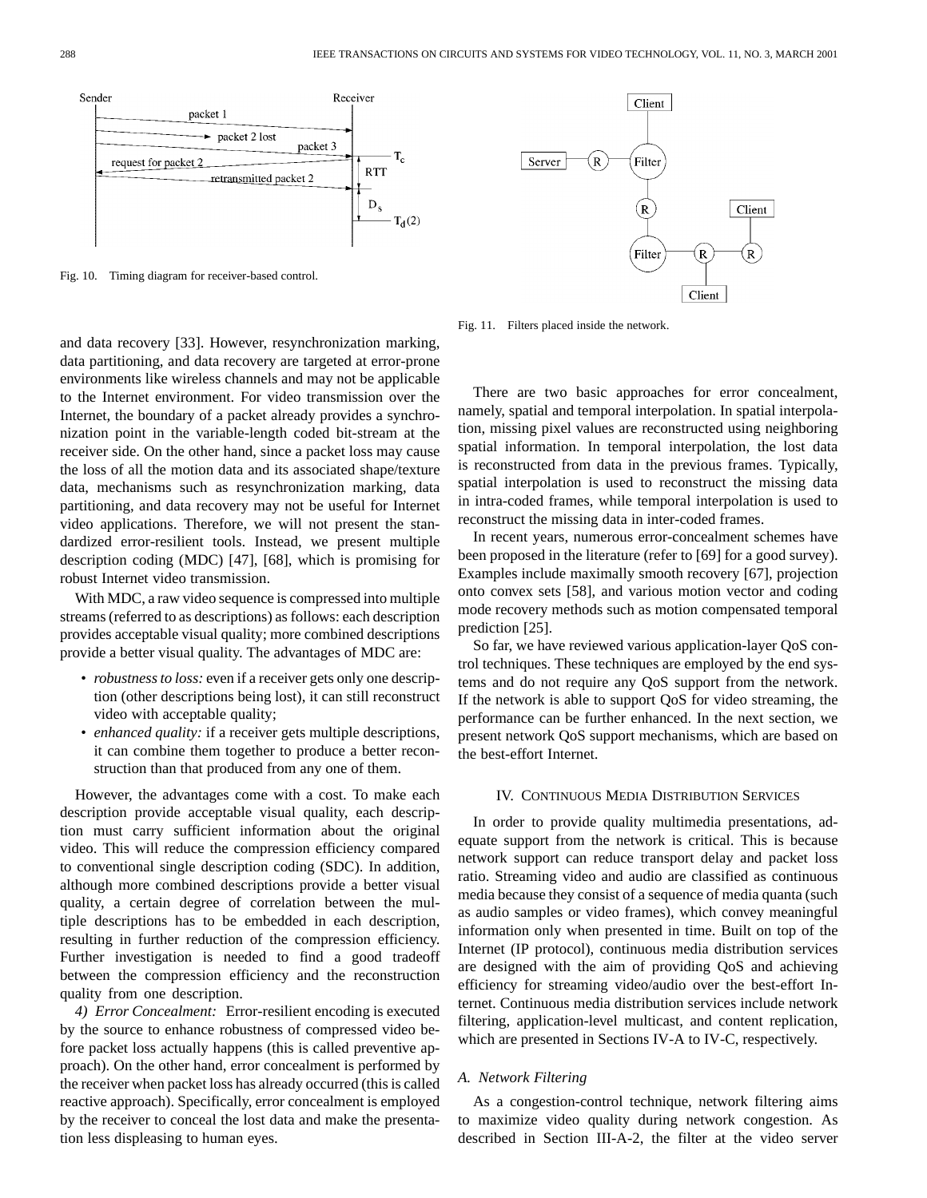

Fig. 10. Timing diagram for receiver-based control.



and data recovery [33]. However, resynchronization marking, data partitioning, and data recovery are targeted at error-prone environments like wireless channels and may not be applicable to the Internet environment. For video transmission over the Internet, the boundary of a packet already provides a synchronization point in the variable-length coded bit-stream at the receiver side. On the other hand, since a packet loss may cause the loss of all the motion data and its associated shape/texture data, mechanisms such as resynchronization marking, data partitioning, and data recovery may not be useful for Internet video applications. Therefore, we will not present the standardized error-resilient tools. Instead, we present multiple description coding (MDC) [47], [68], which is promising for robust Internet video transmission.

With MDC, a raw video sequence is compressed into multiple streams (referred to as descriptions) as follows: each description provides acceptable visual quality; more combined descriptions provide a better visual quality. The advantages of MDC are:

- *robustness to loss:* even if a receiver gets only one description (other descriptions being lost), it can still reconstruct video with acceptable quality;
- *enhanced quality:* if a receiver gets multiple descriptions, it can combine them together to produce a better reconstruction than that produced from any one of them.

However, the advantages come with a cost. To make each description provide acceptable visual quality, each description must carry sufficient information about the original video. This will reduce the compression efficiency compared to conventional single description coding (SDC). In addition, although more combined descriptions provide a better visual quality, a certain degree of correlation between the multiple descriptions has to be embedded in each description, resulting in further reduction of the compression efficiency. Further investigation is needed to find a good tradeoff between the compression efficiency and the reconstruction quality from one description.

*4) Error Concealment:* Error-resilient encoding is executed by the source to enhance robustness of compressed video before packet loss actually happens (this is called preventive approach). On the other hand, error concealment is performed by the receiver when packet loss has already occurred (this is called reactive approach). Specifically, error concealment is employed by the receiver to conceal the lost data and make the presentation less displeasing to human eyes.

Fig. 11. Filters placed inside the network.

There are two basic approaches for error concealment, namely, spatial and temporal interpolation. In spatial interpolation, missing pixel values are reconstructed using neighboring spatial information. In temporal interpolation, the lost data is reconstructed from data in the previous frames. Typically, spatial interpolation is used to reconstruct the missing data in intra-coded frames, while temporal interpolation is used to reconstruct the missing data in inter-coded frames.

In recent years, numerous error-concealment schemes have been proposed in the literature (refer to [69] for a good survey). Examples include maximally smooth recovery [67], projection onto convex sets [58], and various motion vector and coding mode recovery methods such as motion compensated temporal prediction [25].

So far, we have reviewed various application-layer QoS control techniques. These techniques are employed by the end systems and do not require any QoS support from the network. If the network is able to support QoS for video streaming, the performance can be further enhanced. In the next section, we present network QoS support mechanisms, which are based on the best-effort Internet.

# IV. CONTINUOUS MEDIA DISTRIBUTION SERVICES

In order to provide quality multimedia presentations, adequate support from the network is critical. This is because network support can reduce transport delay and packet loss ratio. Streaming video and audio are classified as continuous media because they consist of a sequence of media quanta (such as audio samples or video frames), which convey meaningful information only when presented in time. Built on top of the Internet (IP protocol), continuous media distribution services are designed with the aim of providing QoS and achieving efficiency for streaming video/audio over the best-effort Internet. Continuous media distribution services include network filtering, application-level multicast, and content replication, which are presented in Sections IV-A to IV-C, respectively.

# *A. Network Filtering*

As a congestion-control technique, network filtering aims to maximize video quality during network congestion. As described in Section III-A-2, the filter at the video server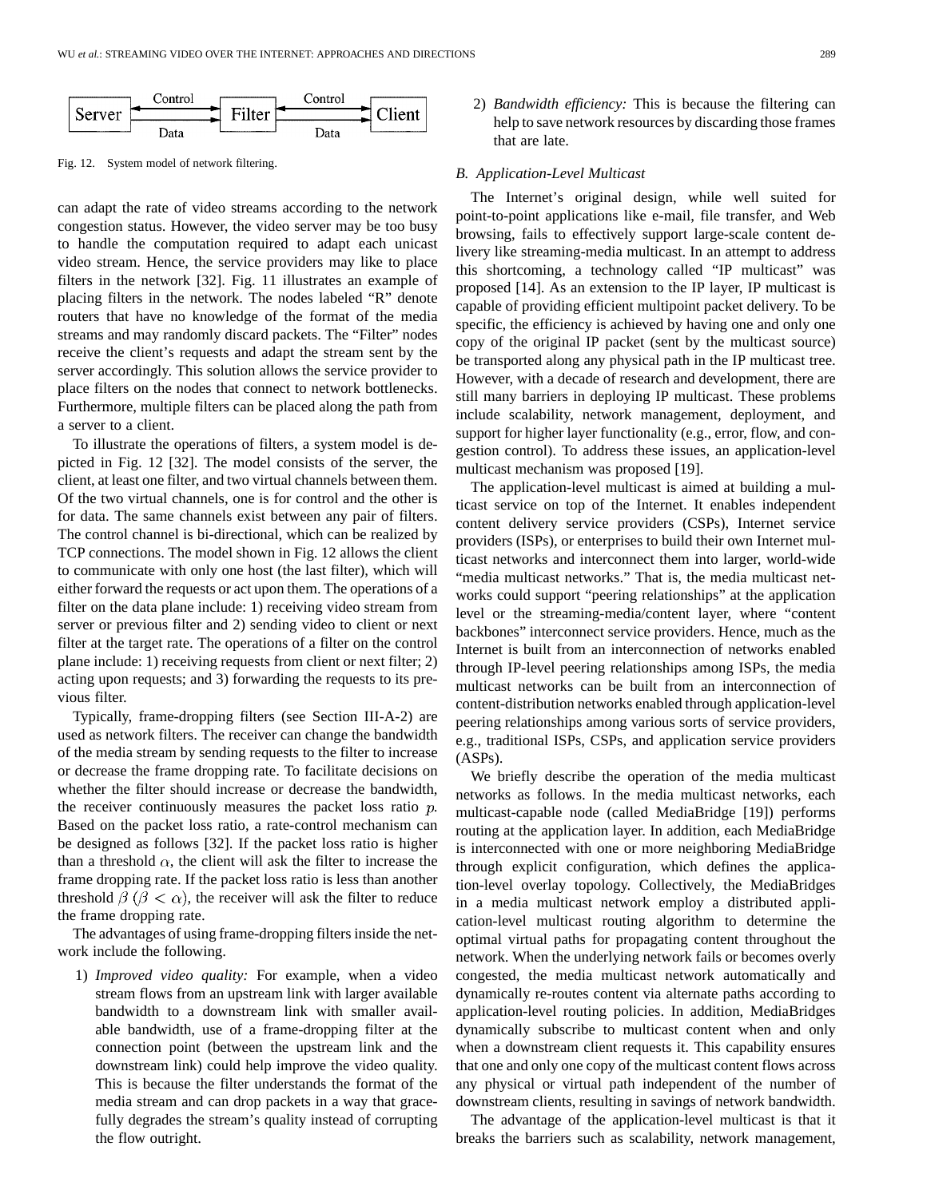

Fig. 12. System model of network filtering.

can adapt the rate of video streams according to the network congestion status. However, the video server may be too busy to handle the computation required to adapt each unicast video stream. Hence, the service providers may like to place filters in the network [32]. Fig. 11 illustrates an example of placing filters in the network. The nodes labeled "R" denote routers that have no knowledge of the format of the media streams and may randomly discard packets. The "Filter" nodes receive the client's requests and adapt the stream sent by the server accordingly. This solution allows the service provider to place filters on the nodes that connect to network bottlenecks. Furthermore, multiple filters can be placed along the path from a server to a client.

To illustrate the operations of filters, a system model is depicted in Fig. 12 [32]. The model consists of the server, the client, at least one filter, and two virtual channels between them. Of the two virtual channels, one is for control and the other is for data. The same channels exist between any pair of filters. The control channel is bi-directional, which can be realized by TCP connections. The model shown in Fig. 12 allows the client to communicate with only one host (the last filter), which will either forward the requests or act upon them. The operations of a filter on the data plane include: 1) receiving video stream from server or previous filter and 2) sending video to client or next filter at the target rate. The operations of a filter on the control plane include: 1) receiving requests from client or next filter; 2) acting upon requests; and 3) forwarding the requests to its previous filter.

Typically, frame-dropping filters (see Section III-A-2) are used as network filters. The receiver can change the bandwidth of the media stream by sending requests to the filter to increase or decrease the frame dropping rate. To facilitate decisions on whether the filter should increase or decrease the bandwidth, the receiver continuously measures the packet loss ratio  $p$ . Based on the packet loss ratio, a rate-control mechanism can be designed as follows [32]. If the packet loss ratio is higher than a threshold  $\alpha$ , the client will ask the filter to increase the frame dropping rate. If the packet loss ratio is less than another threshold  $\beta$  ( $\beta < \alpha$ ), the receiver will ask the filter to reduce the frame dropping rate.

The advantages of using frame-dropping filters inside the network include the following.

1) *Improved video quality:* For example, when a video stream flows from an upstream link with larger available bandwidth to a downstream link with smaller available bandwidth, use of a frame-dropping filter at the connection point (between the upstream link and the downstream link) could help improve the video quality. This is because the filter understands the format of the media stream and can drop packets in a way that gracefully degrades the stream's quality instead of corrupting the flow outright.

2) *Bandwidth efficiency:* This is because the filtering can help to save network resources by discarding those frames that are late.

## *B. Application-Level Multicast*

The Internet's original design, while well suited for point-to-point applications like e-mail, file transfer, and Web browsing, fails to effectively support large-scale content delivery like streaming-media multicast. In an attempt to address this shortcoming, a technology called "IP multicast" was proposed [14]. As an extension to the IP layer, IP multicast is capable of providing efficient multipoint packet delivery. To be specific, the efficiency is achieved by having one and only one copy of the original IP packet (sent by the multicast source) be transported along any physical path in the IP multicast tree. However, with a decade of research and development, there are still many barriers in deploying IP multicast. These problems include scalability, network management, deployment, and support for higher layer functionality (e.g., error, flow, and congestion control). To address these issues, an application-level multicast mechanism was proposed [19].

The application-level multicast is aimed at building a multicast service on top of the Internet. It enables independent content delivery service providers (CSPs), Internet service providers (ISPs), or enterprises to build their own Internet multicast networks and interconnect them into larger, world-wide "media multicast networks." That is, the media multicast networks could support "peering relationships" at the application level or the streaming-media/content layer, where "content backbones" interconnect service providers. Hence, much as the Internet is built from an interconnection of networks enabled through IP-level peering relationships among ISPs, the media multicast networks can be built from an interconnection of content-distribution networks enabled through application-level peering relationships among various sorts of service providers, e.g., traditional ISPs, CSPs, and application service providers (ASPs).

We briefly describe the operation of the media multicast networks as follows. In the media multicast networks, each multicast-capable node (called MediaBridge [19]) performs routing at the application layer. In addition, each MediaBridge is interconnected with one or more neighboring MediaBridge through explicit configuration, which defines the application-level overlay topology. Collectively, the MediaBridges in a media multicast network employ a distributed application-level multicast routing algorithm to determine the optimal virtual paths for propagating content throughout the network. When the underlying network fails or becomes overly congested, the media multicast network automatically and dynamically re-routes content via alternate paths according to application-level routing policies. In addition, MediaBridges dynamically subscribe to multicast content when and only when a downstream client requests it. This capability ensures that one and only one copy of the multicast content flows across any physical or virtual path independent of the number of downstream clients, resulting in savings of network bandwidth.

The advantage of the application-level multicast is that it breaks the barriers such as scalability, network management,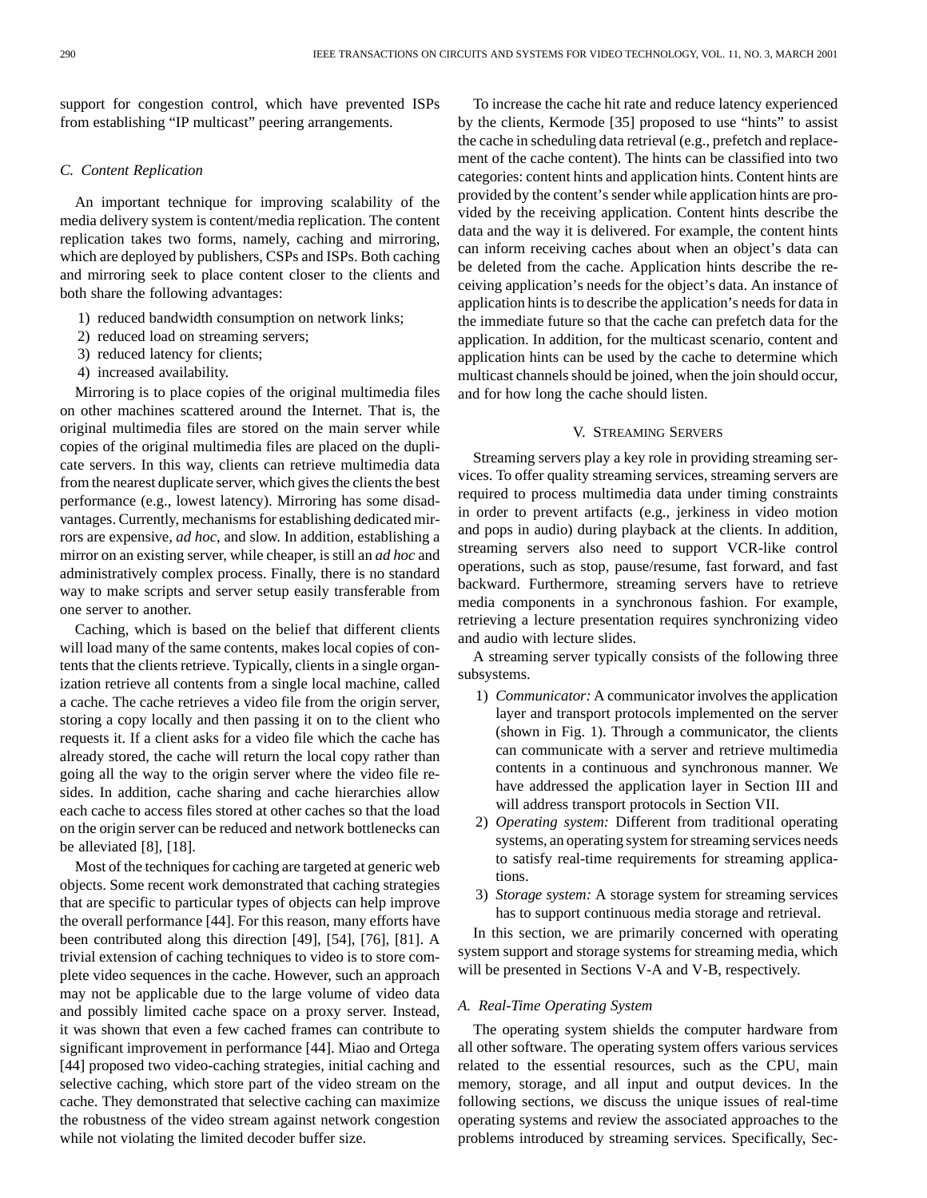support for congestion control, which have prevented ISPs from establishing "IP multicast" peering arrangements.

## *C. Content Replication*

An important technique for improving scalability of the media delivery system is content/media replication. The content replication takes two forms, namely, caching and mirroring, which are deployed by publishers, CSPs and ISPs. Both caching and mirroring seek to place content closer to the clients and both share the following advantages:

- 1) reduced bandwidth consumption on network links;
- 2) reduced load on streaming servers;
- 3) reduced latency for clients;
- 4) increased availability.

Mirroring is to place copies of the original multimedia files on other machines scattered around the Internet. That is, the original multimedia files are stored on the main server while copies of the original multimedia files are placed on the duplicate servers. In this way, clients can retrieve multimedia data from the nearest duplicate server, which gives the clients the best performance (e.g., lowest latency). Mirroring has some disadvantages. Currently, mechanisms for establishing dedicated mirrors are expensive, *ad hoc*, and slow. In addition, establishing a mirror on an existing server, while cheaper, is still an *ad hoc* and administratively complex process. Finally, there is no standard way to make scripts and server setup easily transferable from one server to another.

Caching, which is based on the belief that different clients will load many of the same contents, makes local copies of contents that the clients retrieve. Typically, clients in a single organization retrieve all contents from a single local machine, called a cache. The cache retrieves a video file from the origin server, storing a copy locally and then passing it on to the client who requests it. If a client asks for a video file which the cache has already stored, the cache will return the local copy rather than going all the way to the origin server where the video file resides. In addition, cache sharing and cache hierarchies allow each cache to access files stored at other caches so that the load on the origin server can be reduced and network bottlenecks can be alleviated [8], [18].

Most of the techniques for caching are targeted at generic web objects. Some recent work demonstrated that caching strategies that are specific to particular types of objects can help improve the overall performance [44]. For this reason, many efforts have been contributed along this direction [49], [54], [76], [81]. A trivial extension of caching techniques to video is to store complete video sequences in the cache. However, such an approach may not be applicable due to the large volume of video data and possibly limited cache space on a proxy server. Instead, it was shown that even a few cached frames can contribute to significant improvement in performance [44]. Miao and Ortega [44] proposed two video-caching strategies, initial caching and selective caching, which store part of the video stream on the cache. They demonstrated that selective caching can maximize the robustness of the video stream against network congestion while not violating the limited decoder buffer size.

To increase the cache hit rate and reduce latency experienced by the clients, Kermode [35] proposed to use "hints" to assist the cache in scheduling data retrieval (e.g., prefetch and replacement of the cache content). The hints can be classified into two categories: content hints and application hints. Content hints are provided by the content's sender while application hints are provided by the receiving application. Content hints describe the data and the way it is delivered. For example, the content hints can inform receiving caches about when an object's data can be deleted from the cache. Application hints describe the receiving application's needs for the object's data. An instance of application hints is to describe the application's needs for data in the immediate future so that the cache can prefetch data for the application. In addition, for the multicast scenario, content and application hints can be used by the cache to determine which multicast channels should be joined, when the join should occur, and for how long the cache should listen.

# V. STREAMING SERVERS

Streaming servers play a key role in providing streaming services. To offer quality streaming services, streaming servers are required to process multimedia data under timing constraints in order to prevent artifacts (e.g., jerkiness in video motion and pops in audio) during playback at the clients. In addition, streaming servers also need to support VCR-like control operations, such as stop, pause/resume, fast forward, and fast backward. Furthermore, streaming servers have to retrieve media components in a synchronous fashion. For example, retrieving a lecture presentation requires synchronizing video and audio with lecture slides.

A streaming server typically consists of the following three subsystems.

- 1) *Communicator:* A communicator involves the application layer and transport protocols implemented on the server (shown in Fig. 1). Through a communicator, the clients can communicate with a server and retrieve multimedia contents in a continuous and synchronous manner. We have addressed the application layer in Section III and will address transport protocols in Section VII.
- 2) *Operating system:* Different from traditional operating systems, an operating system for streaming services needs to satisfy real-time requirements for streaming applications.
- 3) *Storage system:* A storage system for streaming services has to support continuous media storage and retrieval.

In this section, we are primarily concerned with operating system support and storage systems for streaming media, which will be presented in Sections V-A and V-B, respectively.

# *A. Real-Time Operating System*

The operating system shields the computer hardware from all other software. The operating system offers various services related to the essential resources, such as the CPU, main memory, storage, and all input and output devices. In the following sections, we discuss the unique issues of real-time operating systems and review the associated approaches to the problems introduced by streaming services. Specifically, Sec-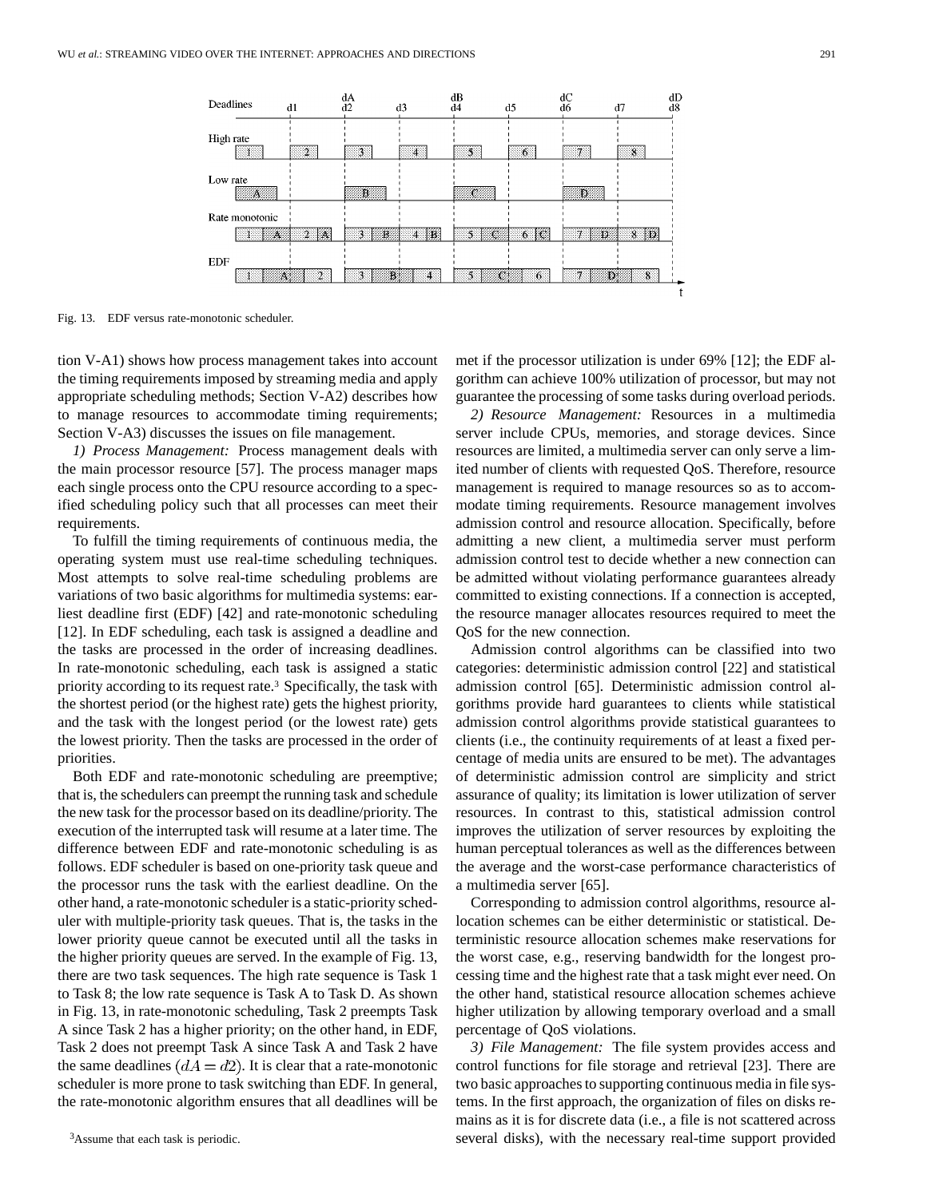

Fig. 13. EDF versus rate-monotonic scheduler.

tion V-A1) shows how process management takes into account the timing requirements imposed by streaming media and apply appropriate scheduling methods; Section V-A2) describes how to manage resources to accommodate timing requirements; Section V-A3) discusses the issues on file management.

*1) Process Management:* Process management deals with the main processor resource [57]. The process manager maps each single process onto the CPU resource according to a specified scheduling policy such that all processes can meet their requirements.

To fulfill the timing requirements of continuous media, the operating system must use real-time scheduling techniques. Most attempts to solve real-time scheduling problems are variations of two basic algorithms for multimedia systems: earliest deadline first (EDF) [42] and rate-monotonic scheduling [12]. In EDF scheduling, each task is assigned a deadline and the tasks are processed in the order of increasing deadlines. In rate-monotonic scheduling, each task is assigned a static priority according to its request rate.3 Specifically, the task with the shortest period (or the highest rate) gets the highest priority, and the task with the longest period (or the lowest rate) gets the lowest priority. Then the tasks are processed in the order of priorities.

Both EDF and rate-monotonic scheduling are preemptive; that is, the schedulers can preempt the running task and schedule the new task for the processor based on its deadline/priority. The execution of the interrupted task will resume at a later time. The difference between EDF and rate-monotonic scheduling is as follows. EDF scheduler is based on one-priority task queue and the processor runs the task with the earliest deadline. On the other hand, a rate-monotonic scheduler is a static-priority scheduler with multiple-priority task queues. That is, the tasks in the lower priority queue cannot be executed until all the tasks in the higher priority queues are served. In the example of Fig. 13, there are two task sequences. The high rate sequence is Task 1 to Task 8; the low rate sequence is Task A to Task D. As shown in Fig. 13, in rate-monotonic scheduling, Task 2 preempts Task A since Task 2 has a higher priority; on the other hand, in EDF, Task 2 does not preempt Task A since Task A and Task 2 have the same deadlines  $(dA = d2)$ . It is clear that a rate-monotonic scheduler is more prone to task switching than EDF. In general, the rate-monotonic algorithm ensures that all deadlines will be met if the processor utilization is under 69% [12]; the EDF algorithm can achieve 100% utilization of processor, but may not guarantee the processing of some tasks during overload periods.

*2) Resource Management:* Resources in a multimedia server include CPUs, memories, and storage devices. Since resources are limited, a multimedia server can only serve a limited number of clients with requested QoS. Therefore, resource management is required to manage resources so as to accommodate timing requirements. Resource management involves admission control and resource allocation. Specifically, before admitting a new client, a multimedia server must perform admission control test to decide whether a new connection can be admitted without violating performance guarantees already committed to existing connections. If a connection is accepted, the resource manager allocates resources required to meet the QoS for the new connection.

Admission control algorithms can be classified into two categories: deterministic admission control [22] and statistical admission control [65]. Deterministic admission control algorithms provide hard guarantees to clients while statistical admission control algorithms provide statistical guarantees to clients (i.e., the continuity requirements of at least a fixed percentage of media units are ensured to be met). The advantages of deterministic admission control are simplicity and strict assurance of quality; its limitation is lower utilization of server resources. In contrast to this, statistical admission control improves the utilization of server resources by exploiting the human perceptual tolerances as well as the differences between the average and the worst-case performance characteristics of a multimedia server [65].

Corresponding to admission control algorithms, resource allocation schemes can be either deterministic or statistical. Deterministic resource allocation schemes make reservations for the worst case, e.g., reserving bandwidth for the longest processing time and the highest rate that a task might ever need. On the other hand, statistical resource allocation schemes achieve higher utilization by allowing temporary overload and a small percentage of QoS violations.

*3) File Management:* The file system provides access and control functions for file storage and retrieval [23]. There are two basic approaches to supporting continuous media in file systems. In the first approach, the organization of files on disks remains as it is for discrete data (i.e., a file is not scattered across several disks), with the necessary real-time support provided

<sup>3</sup>Assume that each task is periodic.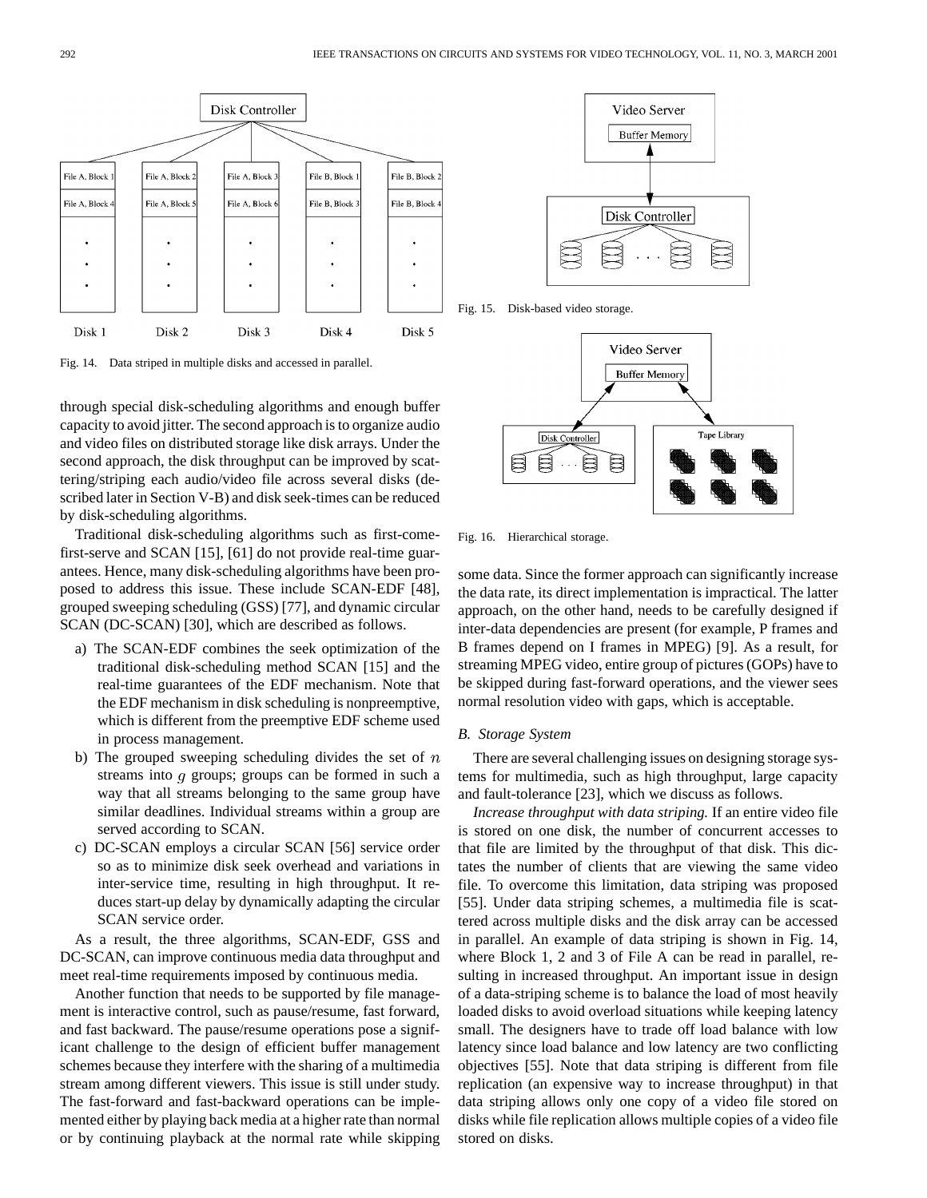

Fig. 14. Data striped in multiple disks and accessed in parallel.

through special disk-scheduling algorithms and enough buffer capacity to avoid jitter. The second approach is to organize audio and video files on distributed storage like disk arrays. Under the second approach, the disk throughput can be improved by scattering/striping each audio/video file across several disks (described later in Section V-B) and disk seek-times can be reduced by disk-scheduling algorithms.

Traditional disk-scheduling algorithms such as first-comefirst-serve and SCAN [15], [61] do not provide real-time guarantees. Hence, many disk-scheduling algorithms have been proposed to address this issue. These include SCAN-EDF [48], grouped sweeping scheduling (GSS) [77], and dynamic circular SCAN (DC-SCAN) [30], which are described as follows.

- a) The SCAN-EDF combines the seek optimization of the traditional disk-scheduling method SCAN [15] and the real-time guarantees of the EDF mechanism. Note that the EDF mechanism in disk scheduling is nonpreemptive, which is different from the preemptive EDF scheme used in process management.
- b) The grouped sweeping scheduling divides the set of  $n$ streams into  $g$  groups; groups can be formed in such a way that all streams belonging to the same group have similar deadlines. Individual streams within a group are served according to SCAN.
- c) DC-SCAN employs a circular SCAN [56] service order so as to minimize disk seek overhead and variations in inter-service time, resulting in high throughput. It reduces start-up delay by dynamically adapting the circular SCAN service order.

As a result, the three algorithms, SCAN-EDF, GSS and DC-SCAN, can improve continuous media data throughput and meet real-time requirements imposed by continuous media.

Another function that needs to be supported by file management is interactive control, such as pause/resume, fast forward, and fast backward. The pause/resume operations pose a significant challenge to the design of efficient buffer management schemes because they interfere with the sharing of a multimedia stream among different viewers. This issue is still under study. The fast-forward and fast-backward operations can be implemented either by playing back media at a higher rate than normal or by continuing playback at the normal rate while skipping



Fig. 15. Disk-based video storage.



Fig. 16. Hierarchical storage.

some data. Since the former approach can significantly increase the data rate, its direct implementation is impractical. The latter approach, on the other hand, needs to be carefully designed if inter-data dependencies are present (for example, P frames and B frames depend on I frames in MPEG) [9]. As a result, for streaming MPEG video, entire group of pictures (GOPs) have to be skipped during fast-forward operations, and the viewer sees normal resolution video with gaps, which is acceptable.

# *B. Storage System*

There are several challenging issues on designing storage systems for multimedia, such as high throughput, large capacity and fault-tolerance [23], which we discuss as follows.

*Increase throughput with data striping.* If an entire video file is stored on one disk, the number of concurrent accesses to that file are limited by the throughput of that disk. This dictates the number of clients that are viewing the same video file. To overcome this limitation, data striping was proposed [55]. Under data striping schemes, a multimedia file is scattered across multiple disks and the disk array can be accessed in parallel. An example of data striping is shown in Fig. 14, where Block 1, 2 and 3 of File A can be read in parallel, resulting in increased throughput. An important issue in design of a data-striping scheme is to balance the load of most heavily loaded disks to avoid overload situations while keeping latency small. The designers have to trade off load balance with low latency since load balance and low latency are two conflicting objectives [55]. Note that data striping is different from file replication (an expensive way to increase throughput) in that data striping allows only one copy of a video file stored on disks while file replication allows multiple copies of a video file stored on disks.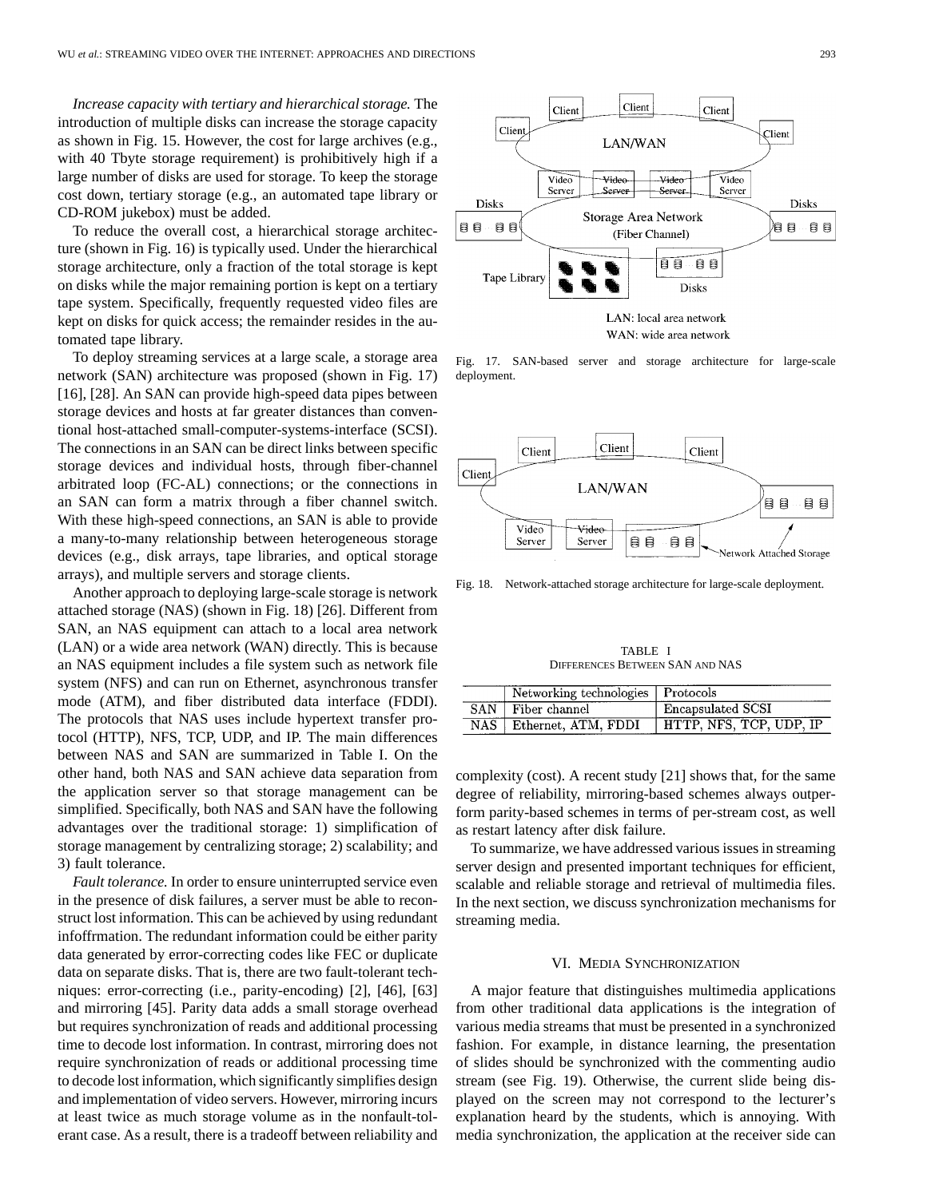*Increase capacity with tertiary and hierarchical storage.* The introduction of multiple disks can increase the storage capacity as shown in Fig. 15. However, the cost for large archives (e.g., with 40 Tbyte storage requirement) is prohibitively high if a large number of disks are used for storage. To keep the storage cost down, tertiary storage (e.g., an automated tape library or CD-ROM jukebox) must be added.

To reduce the overall cost, a hierarchical storage architecture (shown in Fig. 16) is typically used. Under the hierarchical storage architecture, only a fraction of the total storage is kept on disks while the major remaining portion is kept on a tertiary tape system. Specifically, frequently requested video files are kept on disks for quick access; the remainder resides in the automated tape library.

To deploy streaming services at a large scale, a storage area network (SAN) architecture was proposed (shown in Fig. 17) [16], [28]. An SAN can provide high-speed data pipes between storage devices and hosts at far greater distances than conventional host-attached small-computer-systems-interface (SCSI). The connections in an SAN can be direct links between specific storage devices and individual hosts, through fiber-channel arbitrated loop (FC-AL) connections; or the connections in an SAN can form a matrix through a fiber channel switch. With these high-speed connections, an SAN is able to provide a many-to-many relationship between heterogeneous storage devices (e.g., disk arrays, tape libraries, and optical storage arrays), and multiple servers and storage clients.

Another approach to deploying large-scale storage is network attached storage (NAS) (shown in Fig. 18) [26]. Different from SAN, an NAS equipment can attach to a local area network (LAN) or a wide area network (WAN) directly. This is because an NAS equipment includes a file system such as network file system (NFS) and can run on Ethernet, asynchronous transfer mode (ATM), and fiber distributed data interface (FDDI). The protocols that NAS uses include hypertext transfer protocol (HTTP), NFS, TCP, UDP, and IP. The main differences between NAS and SAN are summarized in Table I. On the other hand, both NAS and SAN achieve data separation from the application server so that storage management can be simplified. Specifically, both NAS and SAN have the following advantages over the traditional storage: 1) simplification of storage management by centralizing storage; 2) scalability; and 3) fault tolerance.

*Fault tolerance.* In order to ensure uninterrupted service even in the presence of disk failures, a server must be able to reconstruct lost information. This can be achieved by using redundant infoffrmation. The redundant information could be either parity data generated by error-correcting codes like FEC or duplicate data on separate disks. That is, there are two fault-tolerant techniques: error-correcting (i.e., parity-encoding) [2], [46], [63] and mirroring [45]. Parity data adds a small storage overhead but requires synchronization of reads and additional processing time to decode lost information. In contrast, mirroring does not require synchronization of reads or additional processing time to decode lost information, which significantly simplifies design and implementation of video servers. However, mirroring incurs at least twice as much storage volume as in the nonfault-tolerant case. As a result, there is a tradeoff between reliability and



Fig. 17. SAN-based server and storage architecture for large-scale deployment.



Fig. 18. Network-attached storage architecture for large-scale deployment.

TABLE I DIFFERENCES BETWEEN SAN AND NAS

|      | Networking technologies   Protocols |                          |
|------|-------------------------------------|--------------------------|
| SAN. | Fiber channel                       | <b>Encapsulated SCSI</b> |
|      | NAS   Ethernet, ATM, FDDI           | HTTP, NFS, TCP, UDP, IP  |

complexity (cost). A recent study [21] shows that, for the same degree of reliability, mirroring-based schemes always outperform parity-based schemes in terms of per-stream cost, as well as restart latency after disk failure.

To summarize, we have addressed various issues in streaming server design and presented important techniques for efficient, scalable and reliable storage and retrieval of multimedia files. In the next section, we discuss synchronization mechanisms for streaming media.

# VI. MEDIA SYNCHRONIZATION

A major feature that distinguishes multimedia applications from other traditional data applications is the integration of various media streams that must be presented in a synchronized fashion. For example, in distance learning, the presentation of slides should be synchronized with the commenting audio stream (see Fig. 19). Otherwise, the current slide being displayed on the screen may not correspond to the lecturer's explanation heard by the students, which is annoying. With media synchronization, the application at the receiver side can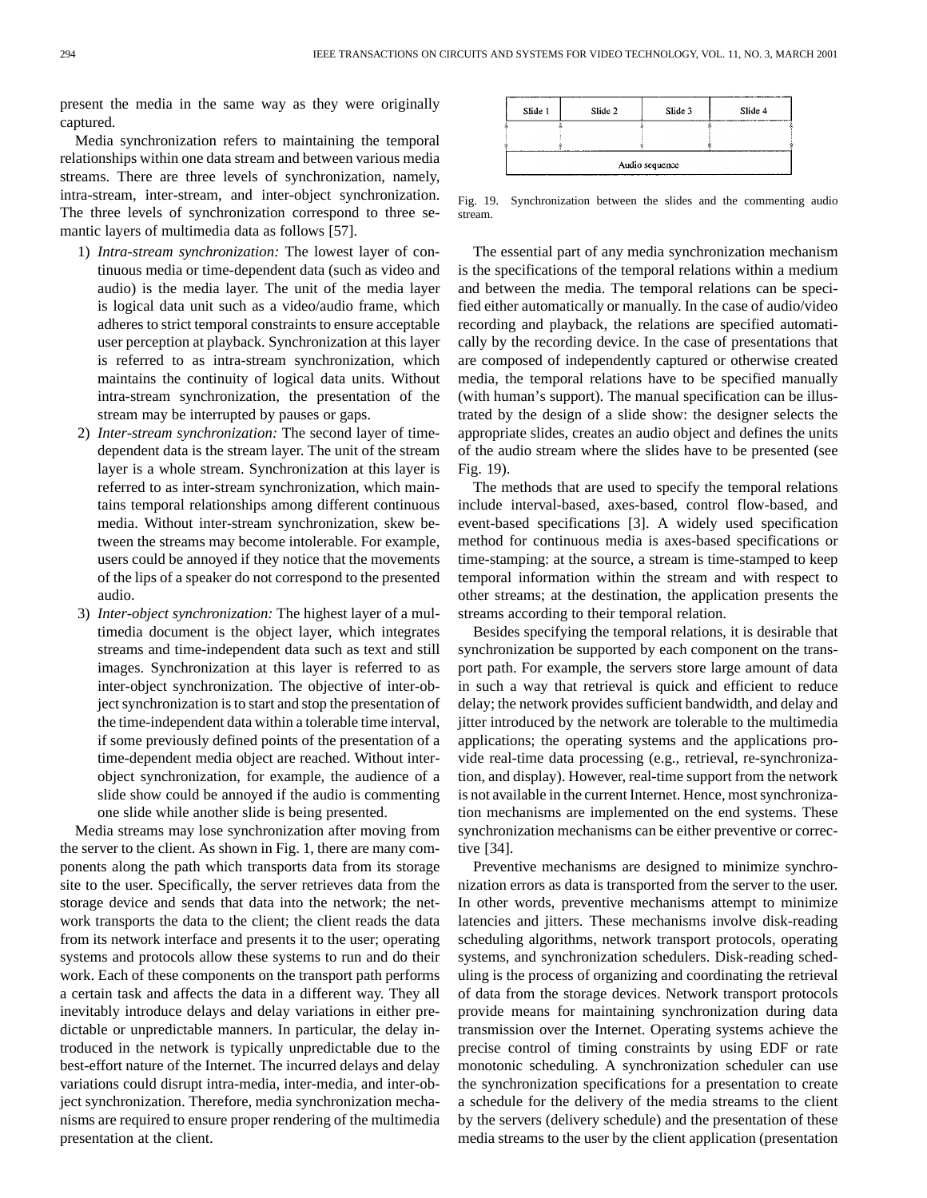present the media in the same way as they were originally captured.

Media synchronization refers to maintaining the temporal relationships within one data stream and between various media streams. There are three levels of synchronization, namely, intra-stream, inter-stream, and inter-object synchronization. The three levels of synchronization correspond to three semantic layers of multimedia data as follows [57].

- 1) *Intra-stream synchronization:* The lowest layer of continuous media or time-dependent data (such as video and audio) is the media layer. The unit of the media layer is logical data unit such as a video/audio frame, which adheres to strict temporal constraints to ensure acceptable user perception at playback. Synchronization at this layer is referred to as intra-stream synchronization, which maintains the continuity of logical data units. Without intra-stream synchronization, the presentation of the stream may be interrupted by pauses or gaps.
- 2) *Inter-stream synchronization:* The second layer of timedependent data is the stream layer. The unit of the stream layer is a whole stream. Synchronization at this layer is referred to as inter-stream synchronization, which maintains temporal relationships among different continuous media. Without inter-stream synchronization, skew between the streams may become intolerable. For example, users could be annoyed if they notice that the movements of the lips of a speaker do not correspond to the presented audio.
- 3) *Inter-object synchronization:* The highest layer of a multimedia document is the object layer, which integrates streams and time-independent data such as text and still images. Synchronization at this layer is referred to as inter-object synchronization. The objective of inter-object synchronization is to start and stop the presentation of the time-independent data within a tolerable time interval, if some previously defined points of the presentation of a time-dependent media object are reached. Without interobject synchronization, for example, the audience of a slide show could be annoyed if the audio is commenting one slide while another slide is being presented.

Media streams may lose synchronization after moving from the server to the client. As shown in Fig. 1, there are many components along the path which transports data from its storage site to the user. Specifically, the server retrieves data from the storage device and sends that data into the network; the network transports the data to the client; the client reads the data from its network interface and presents it to the user; operating systems and protocols allow these systems to run and do their work. Each of these components on the transport path performs a certain task and affects the data in a different way. They all inevitably introduce delays and delay variations in either predictable or unpredictable manners. In particular, the delay introduced in the network is typically unpredictable due to the best-effort nature of the Internet. The incurred delays and delay variations could disrupt intra-media, inter-media, and inter-object synchronization. Therefore, media synchronization mechanisms are required to ensure proper rendering of the multimedia presentation at the client.

|                | Slide 1 | Slide 2 | Slide 3 | Slide 4 |  |  |
|----------------|---------|---------|---------|---------|--|--|
|                |         |         |         |         |  |  |
|                |         |         |         |         |  |  |
| Audio sequence |         |         |         |         |  |  |

Fig. 19. Synchronization between the slides and the commenting audio stream.

The essential part of any media synchronization mechanism is the specifications of the temporal relations within a medium and between the media. The temporal relations can be specified either automatically or manually. In the case of audio/video recording and playback, the relations are specified automatically by the recording device. In the case of presentations that are composed of independently captured or otherwise created media, the temporal relations have to be specified manually (with human's support). The manual specification can be illustrated by the design of a slide show: the designer selects the appropriate slides, creates an audio object and defines the units of the audio stream where the slides have to be presented (see Fig. 19).

The methods that are used to specify the temporal relations include interval-based, axes-based, control flow-based, and event-based specifications [3]. A widely used specification method for continuous media is axes-based specifications or time-stamping: at the source, a stream is time-stamped to keep temporal information within the stream and with respect to other streams; at the destination, the application presents the streams according to their temporal relation.

Besides specifying the temporal relations, it is desirable that synchronization be supported by each component on the transport path. For example, the servers store large amount of data in such a way that retrieval is quick and efficient to reduce delay; the network provides sufficient bandwidth, and delay and jitter introduced by the network are tolerable to the multimedia applications; the operating systems and the applications provide real-time data processing (e.g., retrieval, re-synchronization, and display). However, real-time support from the network is not available in the current Internet. Hence, most synchronization mechanisms are implemented on the end systems. These synchronization mechanisms can be either preventive or corrective [34].

Preventive mechanisms are designed to minimize synchronization errors as data is transported from the server to the user. In other words, preventive mechanisms attempt to minimize latencies and jitters. These mechanisms involve disk-reading scheduling algorithms, network transport protocols, operating systems, and synchronization schedulers. Disk-reading scheduling is the process of organizing and coordinating the retrieval of data from the storage devices. Network transport protocols provide means for maintaining synchronization during data transmission over the Internet. Operating systems achieve the precise control of timing constraints by using EDF or rate monotonic scheduling. A synchronization scheduler can use the synchronization specifications for a presentation to create a schedule for the delivery of the media streams to the client by the servers (delivery schedule) and the presentation of these media streams to the user by the client application (presentation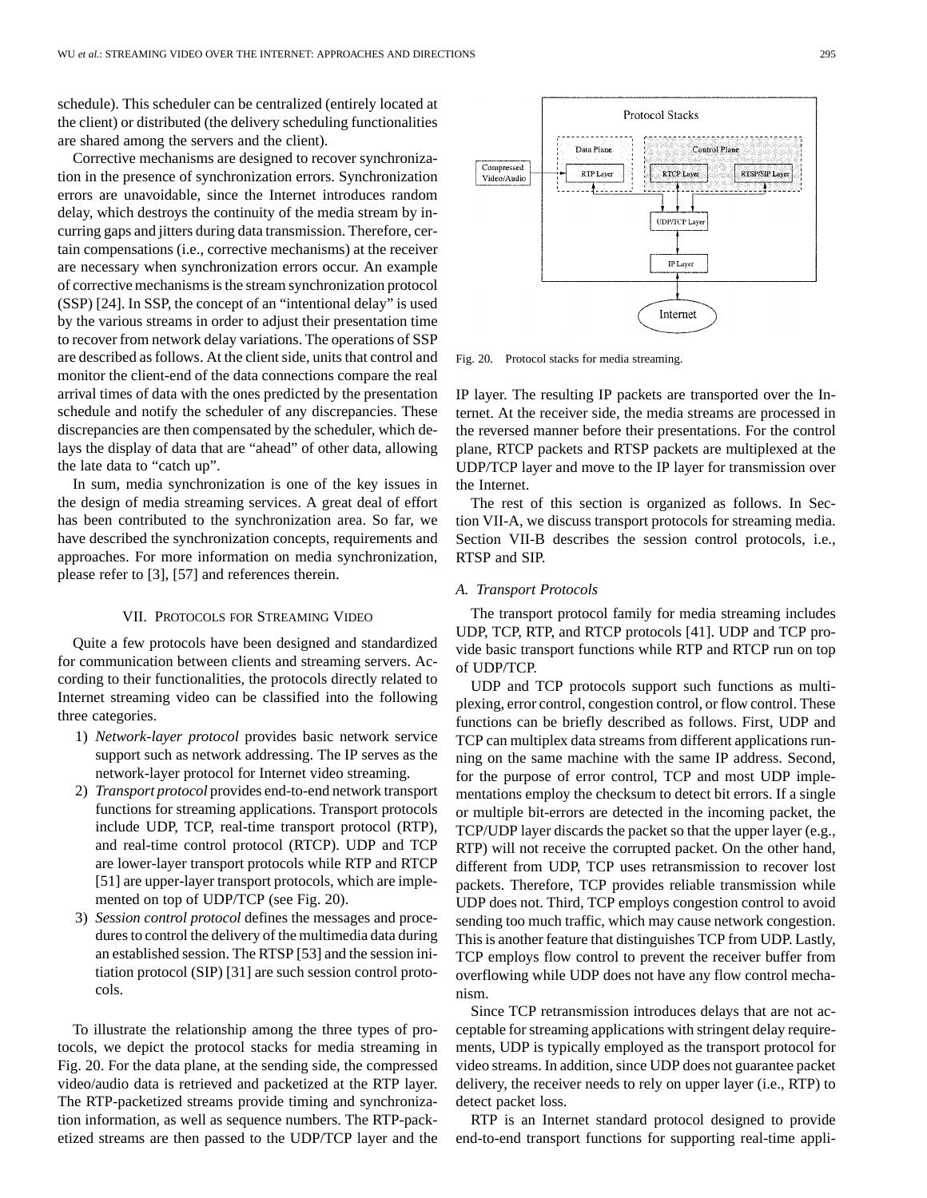schedule). This scheduler can be centralized (entirely located at the client) or distributed (the delivery scheduling functionalities are shared among the servers and the client).

Corrective mechanisms are designed to recover synchronization in the presence of synchronization errors. Synchronization errors are unavoidable, since the Internet introduces random delay, which destroys the continuity of the media stream by incurring gaps and jitters during data transmission. Therefore, certain compensations (i.e., corrective mechanisms) at the receiver are necessary when synchronization errors occur. An example of corrective mechanisms is the stream synchronization protocol (SSP) [24]. In SSP, the concept of an "intentional delay" is used by the various streams in order to adjust their presentation time to recover from network delay variations. The operations of SSP are described as follows. At the client side, units that control and monitor the client-end of the data connections compare the real arrival times of data with the ones predicted by the presentation schedule and notify the scheduler of any discrepancies. These discrepancies are then compensated by the scheduler, which delays the display of data that are "ahead" of other data, allowing the late data to "catch up".

In sum, media synchronization is one of the key issues in the design of media streaming services. A great deal of effort has been contributed to the synchronization area. So far, we have described the synchronization concepts, requirements and approaches. For more information on media synchronization, please refer to [3], [57] and references therein.

#### VII. PROTOCOLS FOR STREAMING VIDEO

Quite a few protocols have been designed and standardized for communication between clients and streaming servers. According to their functionalities, the protocols directly related to Internet streaming video can be classified into the following three categories.

- 1) *Network-layer protocol* provides basic network service support such as network addressing. The IP serves as the network-layer protocol for Internet video streaming.
- 2) *Transport protocol* provides end-to-end network transport functions for streaming applications. Transport protocols include UDP, TCP, real-time transport protocol (RTP), and real-time control protocol (RTCP). UDP and TCP are lower-layer transport protocols while RTP and RTCP [51] are upper-layer transport protocols, which are implemented on top of UDP/TCP (see Fig. 20).
- 3) *Session control protocol* defines the messages and procedures to control the delivery of the multimedia data during an established session. The RTSP [53] and the session initiation protocol (SIP) [31] are such session control protocols.

To illustrate the relationship among the three types of protocols, we depict the protocol stacks for media streaming in Fig. 20. For the data plane, at the sending side, the compressed video/audio data is retrieved and packetized at the RTP layer. The RTP-packetized streams provide timing and synchronization information, as well as sequence numbers. The RTP-packetized streams are then passed to the UDP/TCP layer and the

Fig. 20. Protocol stacks for media streaming.

IP layer. The resulting IP packets are transported over the Internet. At the receiver side, the media streams are processed in the reversed manner before their presentations. For the control plane, RTCP packets and RTSP packets are multiplexed at the UDP/TCP layer and move to the IP layer for transmission over the Internet.

The rest of this section is organized as follows. In Section VII-A, we discuss transport protocols for streaming media. Section VII-B describes the session control protocols, i.e., RTSP and SIP.

#### *A. Transport Protocols*

The transport protocol family for media streaming includes UDP, TCP, RTP, and RTCP protocols [41]. UDP and TCP provide basic transport functions while RTP and RTCP run on top of UDP/TCP.

UDP and TCP protocols support such functions as multiplexing, error control, congestion control, or flow control. These functions can be briefly described as follows. First, UDP and TCP can multiplex data streams from different applications running on the same machine with the same IP address. Second, for the purpose of error control, TCP and most UDP implementations employ the checksum to detect bit errors. If a single or multiple bit-errors are detected in the incoming packet, the TCP/UDP layer discards the packet so that the upper layer (e.g., RTP) will not receive the corrupted packet. On the other hand, different from UDP, TCP uses retransmission to recover lost packets. Therefore, TCP provides reliable transmission while UDP does not. Third, TCP employs congestion control to avoid sending too much traffic, which may cause network congestion. This is another feature that distinguishes TCP from UDP. Lastly, TCP employs flow control to prevent the receiver buffer from overflowing while UDP does not have any flow control mechanism.

Since TCP retransmission introduces delays that are not acceptable for streaming applications with stringent delay requirements, UDP is typically employed as the transport protocol for video streams. In addition, since UDP does not guarantee packet delivery, the receiver needs to rely on upper layer (i.e., RTP) to detect packet loss.

RTP is an Internet standard protocol designed to provide end-to-end transport functions for supporting real-time appli-

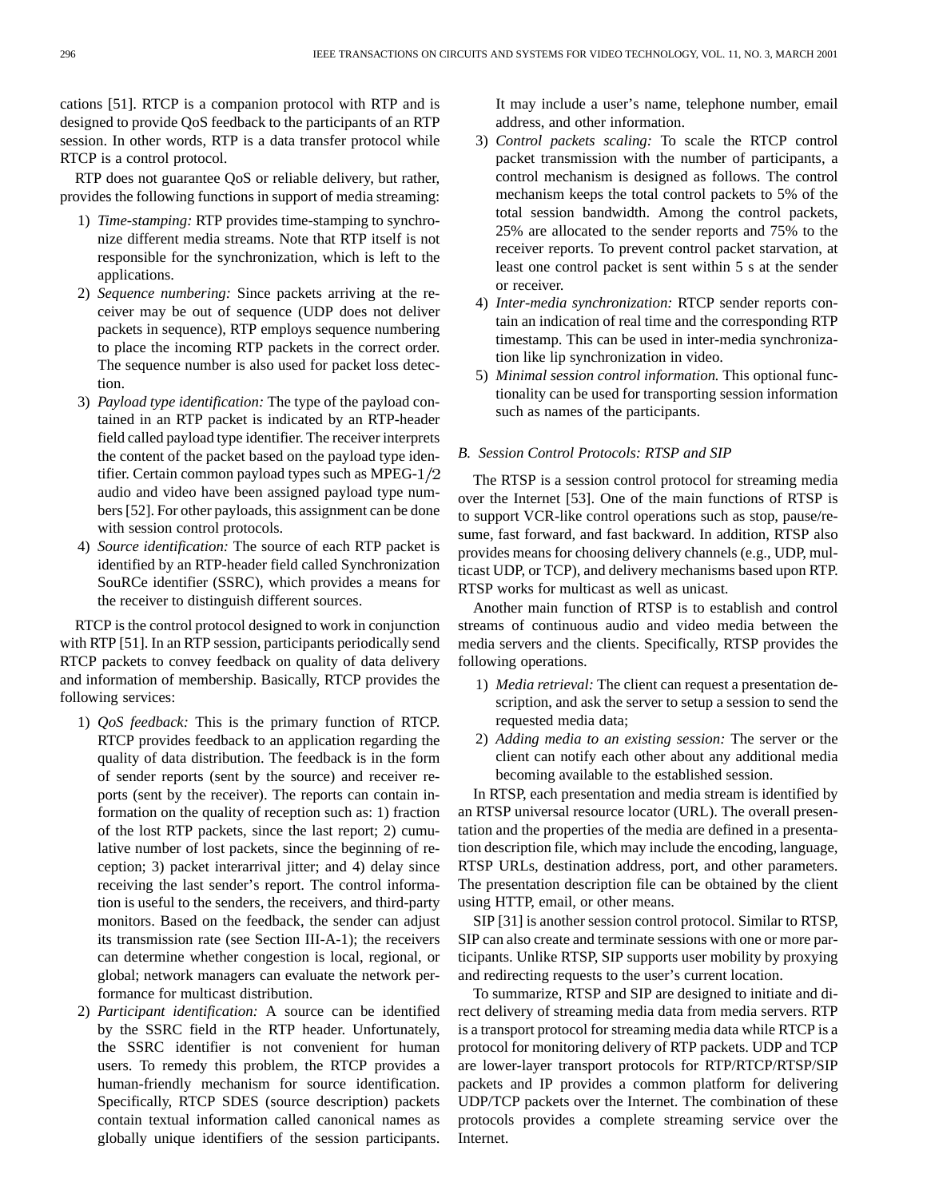cations [51]. RTCP is a companion protocol with RTP and is designed to provide QoS feedback to the participants of an RTP session. In other words, RTP is a data transfer protocol while RTCP is a control protocol.

RTP does not guarantee QoS or reliable delivery, but rather, provides the following functions in support of media streaming:

- 1) *Time-stamping:* RTP provides time-stamping to synchronize different media streams. Note that RTP itself is not responsible for the synchronization, which is left to the applications.
- 2) *Sequence numbering:* Since packets arriving at the receiver may be out of sequence (UDP does not deliver packets in sequence), RTP employs sequence numbering to place the incoming RTP packets in the correct order. The sequence number is also used for packet loss detection.
- 3) *Payload type identification:* The type of the payload contained in an RTP packet is indicated by an RTP-header field called payload type identifier. The receiver interprets the content of the packet based on the payload type identifier. Certain common payload types such as MPEG- $1/2$ audio and video have been assigned payload type numbers [52]. For other payloads, this assignment can be done with session control protocols.
- 4) *Source identification:* The source of each RTP packet is identified by an RTP-header field called Synchronization SouRCe identifier (SSRC), which provides a means for the receiver to distinguish different sources.

RTCP is the control protocol designed to work in conjunction with RTP [51]. In an RTP session, participants periodically send RTCP packets to convey feedback on quality of data delivery and information of membership. Basically, RTCP provides the following services:

- 1) *QoS feedback:* This is the primary function of RTCP. RTCP provides feedback to an application regarding the quality of data distribution. The feedback is in the form of sender reports (sent by the source) and receiver reports (sent by the receiver). The reports can contain information on the quality of reception such as: 1) fraction of the lost RTP packets, since the last report; 2) cumulative number of lost packets, since the beginning of reception; 3) packet interarrival jitter; and 4) delay since receiving the last sender's report. The control information is useful to the senders, the receivers, and third-party monitors. Based on the feedback, the sender can adjust its transmission rate (see Section III-A-1); the receivers can determine whether congestion is local, regional, or global; network managers can evaluate the network performance for multicast distribution.
- 2) *Participant identification:* A source can be identified by the SSRC field in the RTP header. Unfortunately, the SSRC identifier is not convenient for human users. To remedy this problem, the RTCP provides a human-friendly mechanism for source identification. Specifically, RTCP SDES (source description) packets contain textual information called canonical names as globally unique identifiers of the session participants.

It may include a user's name, telephone number, email address, and other information.

- 3) *Control packets scaling:* To scale the RTCP control packet transmission with the number of participants, a control mechanism is designed as follows. The control mechanism keeps the total control packets to 5% of the total session bandwidth. Among the control packets, 25% are allocated to the sender reports and 75% to the receiver reports. To prevent control packet starvation, at least one control packet is sent within 5 s at the sender or receiver.
- 4) *Inter-media synchronization:* RTCP sender reports contain an indication of real time and the corresponding RTP timestamp. This can be used in inter-media synchronization like lip synchronization in video.
- 5) *Minimal session control information.* This optional functionality can be used for transporting session information such as names of the participants.

## *B. Session Control Protocols: RTSP and SIP*

The RTSP is a session control protocol for streaming media over the Internet [53]. One of the main functions of RTSP is to support VCR-like control operations such as stop, pause/resume, fast forward, and fast backward. In addition, RTSP also provides means for choosing delivery channels (e.g., UDP, multicast UDP, or TCP), and delivery mechanisms based upon RTP. RTSP works for multicast as well as unicast.

Another main function of RTSP is to establish and control streams of continuous audio and video media between the media servers and the clients. Specifically, RTSP provides the following operations.

- 1) *Media retrieval:* The client can request a presentation description, and ask the server to setup a session to send the requested media data;
- 2) *Adding media to an existing session:* The server or the client can notify each other about any additional media becoming available to the established session.

In RTSP, each presentation and media stream is identified by an RTSP universal resource locator (URL). The overall presentation and the properties of the media are defined in a presentation description file, which may include the encoding, language, RTSP URLs, destination address, port, and other parameters. The presentation description file can be obtained by the client using HTTP, email, or other means.

SIP [31] is another session control protocol. Similar to RTSP, SIP can also create and terminate sessions with one or more participants. Unlike RTSP, SIP supports user mobility by proxying and redirecting requests to the user's current location.

To summarize, RTSP and SIP are designed to initiate and direct delivery of streaming media data from media servers. RTP is a transport protocol for streaming media data while RTCP is a protocol for monitoring delivery of RTP packets. UDP and TCP are lower-layer transport protocols for RTP/RTCP/RTSP/SIP packets and IP provides a common platform for delivering UDP/TCP packets over the Internet. The combination of these protocols provides a complete streaming service over the Internet.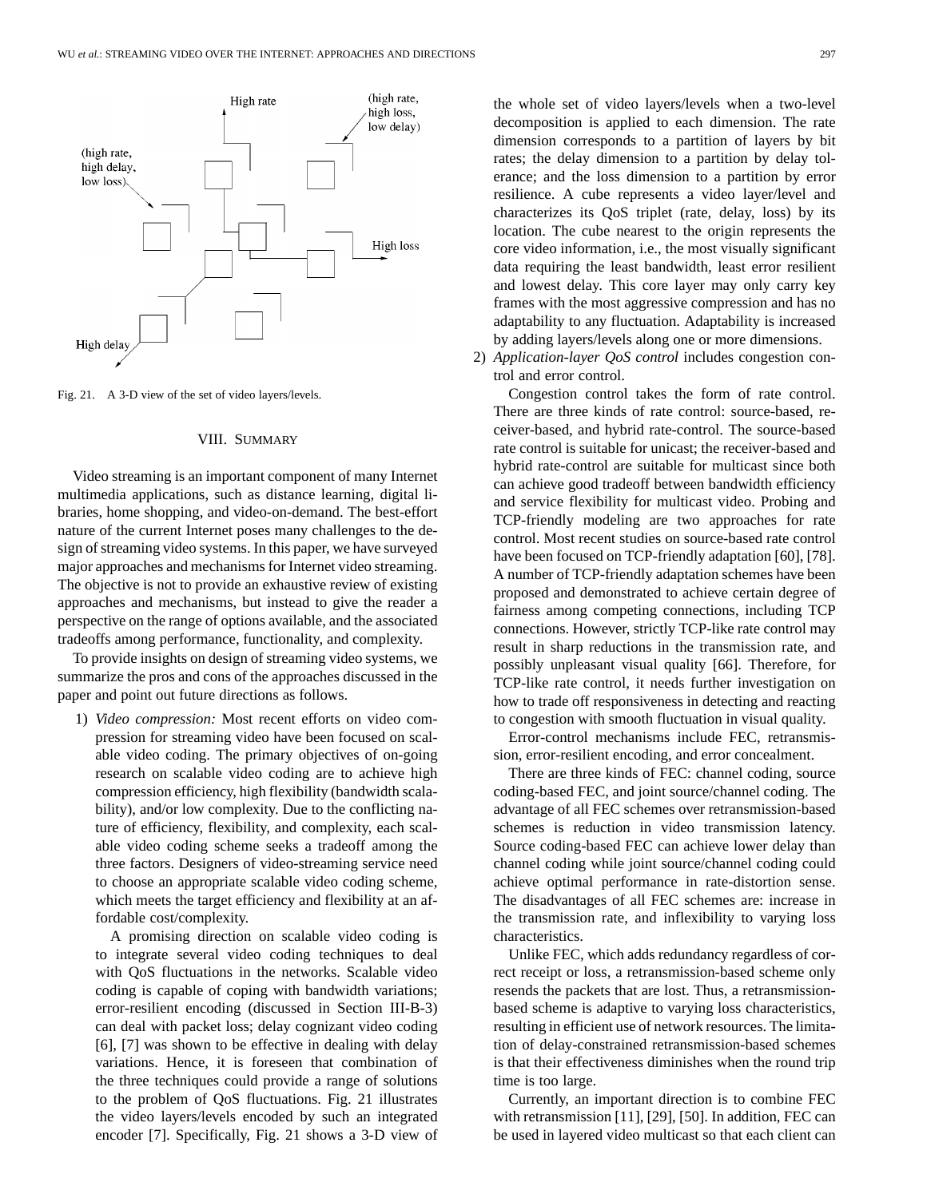

Fig. 21. A 3-D view of the set of video layers/levels.

## VIII. SUMMARY

Video streaming is an important component of many Internet multimedia applications, such as distance learning, digital libraries, home shopping, and video-on-demand. The best-effort nature of the current Internet poses many challenges to the design of streaming video systems. In this paper, we have surveyed major approaches and mechanisms for Internet video streaming. The objective is not to provide an exhaustive review of existing approaches and mechanisms, but instead to give the reader a perspective on the range of options available, and the associated tradeoffs among performance, functionality, and complexity.

To provide insights on design of streaming video systems, we summarize the pros and cons of the approaches discussed in the paper and point out future directions as follows.

1) *Video compression:* Most recent efforts on video compression for streaming video have been focused on scalable video coding. The primary objectives of on-going research on scalable video coding are to achieve high compression efficiency, high flexibility (bandwidth scalability), and/or low complexity. Due to the conflicting nature of efficiency, flexibility, and complexity, each scalable video coding scheme seeks a tradeoff among the three factors. Designers of video-streaming service need to choose an appropriate scalable video coding scheme, which meets the target efficiency and flexibility at an affordable cost/complexity.

A promising direction on scalable video coding is to integrate several video coding techniques to deal with QoS fluctuations in the networks. Scalable video coding is capable of coping with bandwidth variations; error-resilient encoding (discussed in Section III-B-3) can deal with packet loss; delay cognizant video coding [6], [7] was shown to be effective in dealing with delay variations. Hence, it is foreseen that combination of the three techniques could provide a range of solutions to the problem of QoS fluctuations. Fig. 21 illustrates the video layers/levels encoded by such an integrated encoder [7]. Specifically, Fig. 21 shows a 3-D view of

the whole set of video layers/levels when a two-level decomposition is applied to each dimension. The rate dimension corresponds to a partition of layers by bit rates; the delay dimension to a partition by delay tolerance; and the loss dimension to a partition by error resilience. A cube represents a video layer/level and characterizes its QoS triplet (rate, delay, loss) by its location. The cube nearest to the origin represents the core video information, i.e., the most visually significant data requiring the least bandwidth, least error resilient and lowest delay. This core layer may only carry key frames with the most aggressive compression and has no adaptability to any fluctuation. Adaptability is increased by adding layers/levels along one or more dimensions.

2) *Application-layer QoS control* includes congestion control and error control.

Congestion control takes the form of rate control. There are three kinds of rate control: source-based, receiver-based, and hybrid rate-control. The source-based rate control is suitable for unicast; the receiver-based and hybrid rate-control are suitable for multicast since both can achieve good tradeoff between bandwidth efficiency and service flexibility for multicast video. Probing and TCP-friendly modeling are two approaches for rate control. Most recent studies on source-based rate control have been focused on TCP-friendly adaptation [60], [78]. A number of TCP-friendly adaptation schemes have been proposed and demonstrated to achieve certain degree of fairness among competing connections, including TCP connections. However, strictly TCP-like rate control may result in sharp reductions in the transmission rate, and possibly unpleasant visual quality [66]. Therefore, for TCP-like rate control, it needs further investigation on how to trade off responsiveness in detecting and reacting to congestion with smooth fluctuation in visual quality.

Error-control mechanisms include FEC, retransmission, error-resilient encoding, and error concealment.

There are three kinds of FEC: channel coding, source coding-based FEC, and joint source/channel coding. The advantage of all FEC schemes over retransmission-based schemes is reduction in video transmission latency. Source coding-based FEC can achieve lower delay than channel coding while joint source/channel coding could achieve optimal performance in rate-distortion sense. The disadvantages of all FEC schemes are: increase in the transmission rate, and inflexibility to varying loss characteristics.

Unlike FEC, which adds redundancy regardless of correct receipt or loss, a retransmission-based scheme only resends the packets that are lost. Thus, a retransmissionbased scheme is adaptive to varying loss characteristics, resulting in efficient use of network resources. The limitation of delay-constrained retransmission-based schemes is that their effectiveness diminishes when the round trip time is too large.

Currently, an important direction is to combine FEC with retransmission [11], [29], [50]. In addition, FEC can be used in layered video multicast so that each client can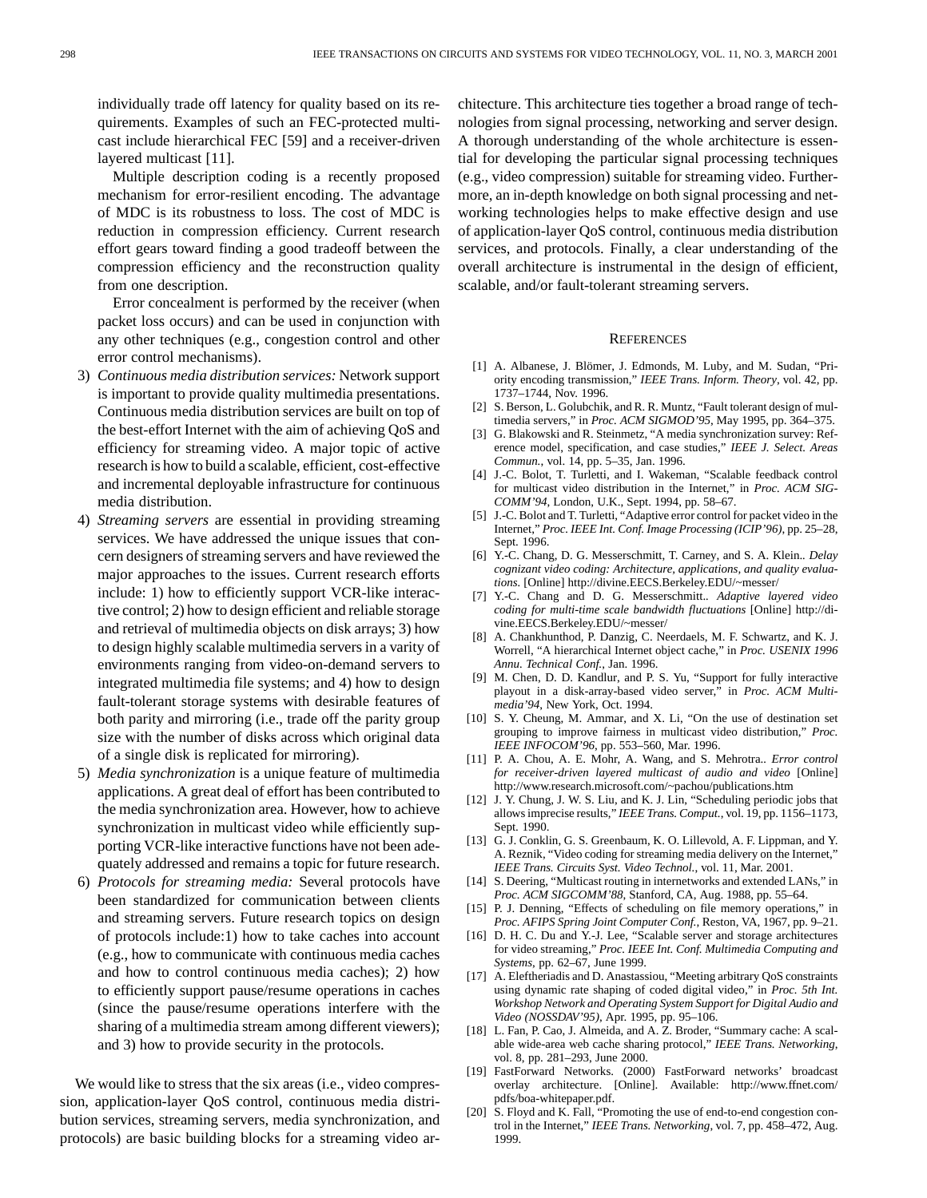individually trade off latency for quality based on its requirements. Examples of such an FEC-protected multicast include hierarchical FEC [59] and a receiver-driven layered multicast [11].

Multiple description coding is a recently proposed mechanism for error-resilient encoding. The advantage of MDC is its robustness to loss. The cost of MDC is reduction in compression efficiency. Current research effort gears toward finding a good tradeoff between the compression efficiency and the reconstruction quality from one description.

Error concealment is performed by the receiver (when packet loss occurs) and can be used in conjunction with any other techniques (e.g., congestion control and other error control mechanisms).

- 3) *Continuous media distribution services:* Network support is important to provide quality multimedia presentations. Continuous media distribution services are built on top of the best-effort Internet with the aim of achieving QoS and efficiency for streaming video. A major topic of active research is how to build a scalable, efficient, cost-effective and incremental deployable infrastructure for continuous media distribution.
- 4) *Streaming servers* are essential in providing streaming services. We have addressed the unique issues that concern designers of streaming servers and have reviewed the major approaches to the issues. Current research efforts include: 1) how to efficiently support VCR-like interactive control; 2) how to design efficient and reliable storage and retrieval of multimedia objects on disk arrays; 3) how to design highly scalable multimedia servers in a varity of environments ranging from video-on-demand servers to integrated multimedia file systems; and 4) how to design fault-tolerant storage systems with desirable features of both parity and mirroring (i.e., trade off the parity group size with the number of disks across which original data of a single disk is replicated for mirroring).
- 5) *Media synchronization* is a unique feature of multimedia applications. A great deal of effort has been contributed to the media synchronization area. However, how to achieve synchronization in multicast video while efficiently supporting VCR-like interactive functions have not been adequately addressed and remains a topic for future research.
- 6) *Protocols for streaming media:* Several protocols have been standardized for communication between clients and streaming servers. Future research topics on design of protocols include:1) how to take caches into account (e.g., how to communicate with continuous media caches and how to control continuous media caches); 2) how to efficiently support pause/resume operations in caches (since the pause/resume operations interfere with the sharing of a multimedia stream among different viewers); and 3) how to provide security in the protocols.

We would like to stress that the six areas (i.e., video compression, application-layer QoS control, continuous media distribution services, streaming servers, media synchronization, and protocols) are basic building blocks for a streaming video architecture. This architecture ties together a broad range of technologies from signal processing, networking and server design. A thorough understanding of the whole architecture is essential for developing the particular signal processing techniques (e.g., video compression) suitable for streaming video. Furthermore, an in-depth knowledge on both signal processing and networking technologies helps to make effective design and use of application-layer QoS control, continuous media distribution services, and protocols. Finally, a clear understanding of the overall architecture is instrumental in the design of efficient, scalable, and/or fault-tolerant streaming servers.

## **REFERENCES**

- [1] A. Albanese, J. Blömer, J. Edmonds, M. Luby, and M. Sudan, "Priority encoding transmission," *IEEE Trans. Inform. Theory*, vol. 42, pp. 1737–1744, Nov. 1996.
- [2] S. Berson, L. Golubchik, and R. R. Muntz, "Fault tolerant design of multimedia servers," in *Proc. ACM SIGMOD'95*, May 1995, pp. 364–375.
- [3] G. Blakowski and R. Steinmetz, "A media synchronization survey: Reference model, specification, and case studies," *IEEE J. Select. Areas Commun.*, vol. 14, pp. 5–35, Jan. 1996.
- [4] J.-C. Bolot, T. Turletti, and I. Wakeman, "Scalable feedback control for multicast video distribution in the Internet," in *Proc. ACM SIG-COMM'94*, London, U.K., Sept. 1994, pp. 58–67.
- [5] J.-C. Bolot and T. Turletti, "Adaptive error control for packet video in the Internet," *Proc. IEEE Int. Conf. Image Processing (ICIP'96)*, pp. 25–28, Sept. 1996.
- [6] Y.-C. Chang, D. G. Messerschmitt, T. Carney, and S. A. Klein.*. Delay cognizant video coding: Architecture, applications, and quality evaluations.* [Online] http://divine.EECS.Berkeley.EDU/~messer/
- [7] Y.-C. Chang and D. G. Messerschmitt.*. Adaptive layered video coding for multi-time scale bandwidth fluctuations* [Online] http://divine.EECS.Berkeley.EDU/~messer/
- [8] A. Chankhunthod, P. Danzig, C. Neerdaels, M. F. Schwartz, and K. J. Worrell, "A hierarchical Internet object cache," in *Proc. USENIX 1996 Annu. Technical Conf.*, Jan. 1996.
- [9] M. Chen, D. D. Kandlur, and P. S. Yu, "Support for fully interactive playout in a disk-array-based video server," in *Proc. ACM Multimedia'94*, New York, Oct. 1994.
- [10] S. Y. Cheung, M. Ammar, and X. Li, "On the use of destination set grouping to improve fairness in multicast video distribution," *Proc. IEEE INFOCOM'96*, pp. 553–560, Mar. 1996.
- [11] P. A. Chou, A. E. Mohr, A. Wang, and S. Mehrotra.*. Error control for receiver-driven layered multicast of audio and video* [Online] http://www.research.microsoft.com/~pachou/publications.htm
- [12] J. Y. Chung, J. W. S. Liu, and K. J. Lin, "Scheduling periodic jobs that allows imprecise results," *IEEE Trans. Comput.*, vol. 19, pp. 1156–1173, Sept. 1990.
- [13] G. J. Conklin, G. S. Greenbaum, K. O. Lillevold, A. F. Lippman, and Y. A. Reznik, "Video coding for streaming media delivery on the Internet," *IEEE Trans. Circuits Syst. Video Technol.*, vol. 11, Mar. 2001.
- [14] S. Deering, "Multicast routing in internetworks and extended LANs," in *Proc. ACM SIGCOMM'88*, Stanford, CA, Aug. 1988, pp. 55–64.
- [15] P. J. Denning, "Effects of scheduling on file memory operations," in *Proc. AFIPS Spring Joint Computer Conf.*, Reston, VA, 1967, pp. 9–21.
- [16] D. H. C. Du and Y.-J. Lee, "Scalable server and storage architectures for video streaming," *Proc. IEEE Int. Conf. Multimedia Computing and Systems*, pp. 62–67, June 1999.
- [17] A. Eleftheriadis and D. Anastassiou, "Meeting arbitrary QoS constraints using dynamic rate shaping of coded digital video," in *Proc. 5th Int. Workshop Network and Operating System Support for Digital Audio and Video (NOSSDAV'95)*, Apr. 1995, pp. 95–106.
- [18] L. Fan, P. Cao, J. Almeida, and A. Z. Broder, "Summary cache: A scalable wide-area web cache sharing protocol," *IEEE Trans. Networking*, vol. 8, pp. 281–293, June 2000.
- [19] FastForward Networks. (2000) FastForward networks' broadcast overlay architecture. [Online]. Available: http://www.ffnet.com/ pdfs/boa-whitepaper.pdf.
- [20] S. Floyd and K. Fall, "Promoting the use of end-to-end congestion control in the Internet," *IEEE Trans. Networking*, vol. 7, pp. 458–472, Aug. 1999.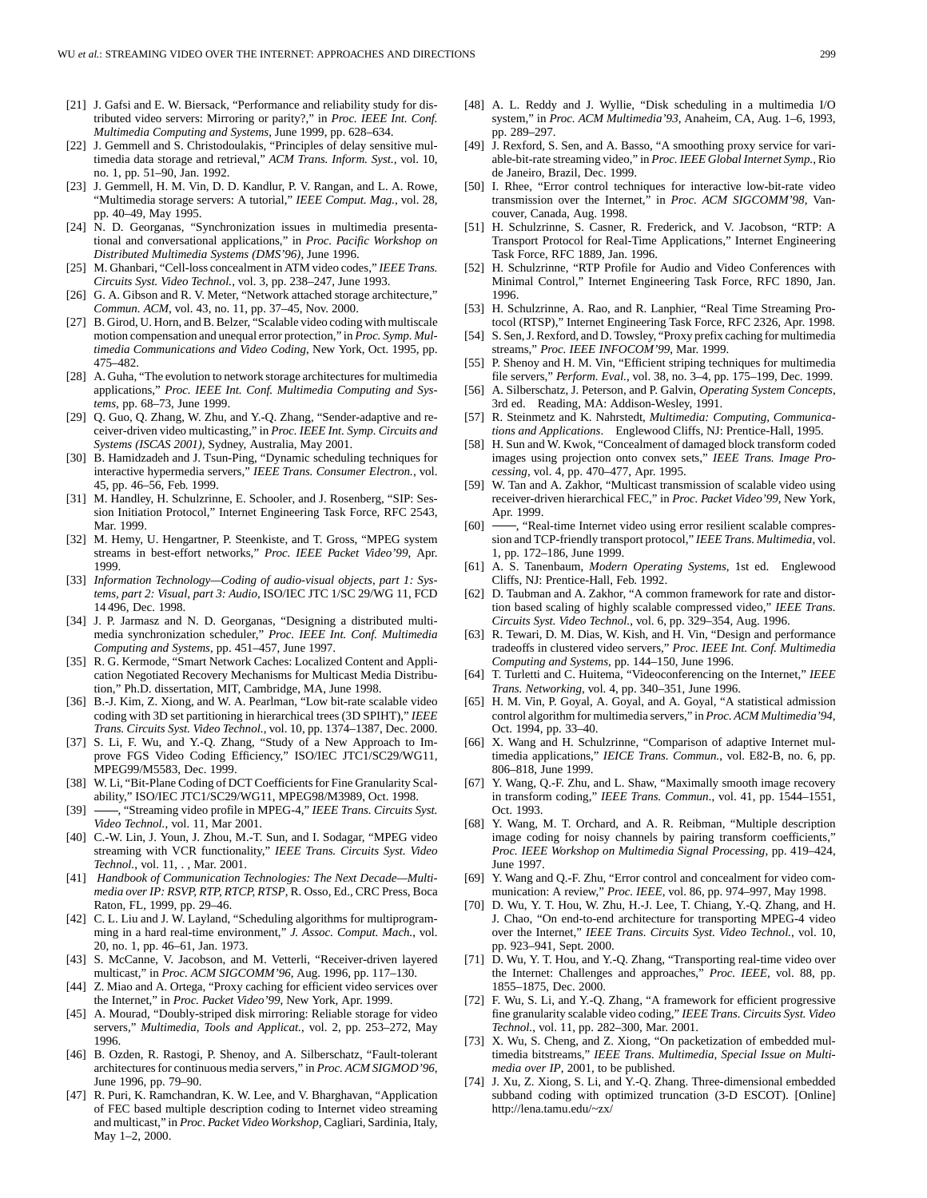- [21] J. Gafsi and E. W. Biersack, "Performance and reliability study for distributed video servers: Mirroring or parity?," in *Proc. IEEE Int. Conf. Multimedia Computing and Systems*, June 1999, pp. 628–634.
- [22] J. Gemmell and S. Christodoulakis, "Principles of delay sensitive multimedia data storage and retrieval," *ACM Trans. Inform. Syst.*, vol. 10, no. 1, pp. 51–90, Jan. 1992.
- [23] J. Gemmell, H. M. Vin, D. D. Kandlur, P. V. Rangan, and L. A. Rowe, "Multimedia storage servers: A tutorial," *IEEE Comput. Mag.*, vol. 28, pp. 40–49, May 1995.
- [24] N. D. Georganas, "Synchronization issues in multimedia presentational and conversational applications," in *Proc. Pacific Workshop on Distributed Multimedia Systems (DMS'96)*, June 1996.
- [25] M. Ghanbari, "Cell-loss concealment in ATM video codes," *IEEE Trans. Circuits Syst. Video Technol.*, vol. 3, pp. 238–247, June 1993.
- [26] G. A. Gibson and R. V. Meter, "Network attached storage architecture," *Commun. ACM*, vol. 43, no. 11, pp. 37–45, Nov. 2000.
- [27] B. Girod, U. Horn, and B. Belzer, "Scalable video coding with multiscale motion compensation and unequal error protection," in *Proc. Symp. Multimedia Communications and Video Coding*, New York, Oct. 1995, pp. 475–482.
- [28] A. Guha, "The evolution to network storage architectures for multimedia applications," *Proc. IEEE Int. Conf. Multimedia Computing and Systems*, pp. 68–73, June 1999.
- [29] Q. Guo, Q. Zhang, W. Zhu, and Y.-Q. Zhang, "Sender-adaptive and receiver-driven video multicasting," in *Proc. IEEE Int. Symp. Circuits and Systems (ISCAS 2001)*, Sydney, Australia, May 2001.
- [30] B. Hamidzadeh and J. Tsun-Ping, "Dynamic scheduling techniques for interactive hypermedia servers," *IEEE Trans. Consumer Electron.*, vol. 45, pp. 46–56, Feb. 1999.
- [31] M. Handley, H. Schulzrinne, E. Schooler, and J. Rosenberg, "SIP: Session Initiation Protocol," Internet Engineering Task Force, RFC 2543, Mar. 1999.
- [32] M. Hemy, U. Hengartner, P. Steenkiste, and T. Gross, "MPEG system streams in best-effort networks," *Proc. IEEE Packet Video'99*, Apr. 1999.
- [33] *Information Technology—Coding of audio-visual objects, part 1: Systems, part 2: Visual, part 3: Audio*, ISO/IEC JTC 1/SC 29/WG 11, FCD 14 496, Dec. 1998.
- [34] J. P. Jarmasz and N. D. Georganas, "Designing a distributed multimedia synchronization scheduler," *Proc. IEEE Int. Conf. Multimedia Computing and Systems*, pp. 451–457, June 1997.
- [35] R. G. Kermode, "Smart Network Caches: Localized Content and Application Negotiated Recovery Mechanisms for Multicast Media Distribution," Ph.D. dissertation, MIT, Cambridge, MA, June 1998.
- [36] B.-J. Kim, Z. Xiong, and W. A. Pearlman, "Low bit-rate scalable video coding with 3D set partitioning in hierarchical trees (3D SPIHT)," *IEEE Trans. Circuits Syst. Video Technol.*, vol. 10, pp. 1374–1387, Dec. 2000.
- [37] S. Li, F. Wu, and Y.-Q. Zhang, "Study of a New Approach to Improve FGS Video Coding Efficiency," ISO/IEC JTC1/SC29/WG11, MPEG99/M5583, Dec. 1999.
- [38] W. Li, "Bit-Plane Coding of DCT Coefficients for Fine Granularity Scalability," ISO/IEC JTC1/SC29/WG11, MPEG98/M3989, Oct. 1998.
- [39] -, "Streaming video profile in MPEG-4," IEEE Trans. Circuits Syst. *Video Technol.*, vol. 11, Mar 2001.
- [40] C.-W. Lin, J. Youn, J. Zhou, M.-T. Sun, and I. Sodagar, "MPEG video streaming with VCR functionality," *IEEE Trans. Circuits Syst. Video Technol.*, vol. 11, . , Mar. 2001.
- [41] *Handbook of Communication Technologies: The Next Decade-Multimedia over IP: RSVP, RTP, RTCP, RTSP*, R. Osso, Ed., CRC Press, Boca Raton, FL, 1999, pp. 29–46.
- [42] C. L. Liu and J. W. Layland, "Scheduling algorithms for multiprogramming in a hard real-time environment," *J. Assoc. Comput. Mach.*, vol. 20, no. 1, pp. 46–61, Jan. 1973.
- [43] S. McCanne, V. Jacobson, and M. Vetterli, "Receiver-driven layered multicast," in *Proc. ACM SIGCOMM'96*, Aug. 1996, pp. 117–130.
- [44] Z. Miao and A. Ortega, "Proxy caching for efficient video services over the Internet," in *Proc. Packet Video'99*, New York, Apr. 1999.
- [45] A. Mourad, "Doubly-striped disk mirroring: Reliable storage for video servers," *Multimedia, Tools and Applicat.*, vol. 2, pp. 253–272, May 1996.
- [46] B. Ozden, R. Rastogi, P. Shenoy, and A. Silberschatz, "Fault-tolerant architectures for continuous media servers," in *Proc. ACM SIGMOD'96*, June 1996, pp. 79–90.
- [47] R. Puri, K. Ramchandran, K. W. Lee, and V. Bharghavan, "Application of FEC based multiple description coding to Internet video streaming and multicast," in *Proc. Packet Video Workshop*, Cagliari, Sardinia, Italy, May 1–2, 2000.
- [48] A. L. Reddy and J. Wyllie, "Disk scheduling in a multimedia I/O system," in *Proc. ACM Multimedia'93*, Anaheim, CA, Aug. 1–6, 1993, pp. 289–297.
- [49] J. Rexford, S. Sen, and A. Basso, "A smoothing proxy service for variable-bit-rate streaming video," in *Proc. IEEE Global Internet Symp.*, Rio de Janeiro, Brazil, Dec. 1999.
- [50] I. Rhee, "Error control techniques for interactive low-bit-rate video transmission over the Internet," in *Proc. ACM SIGCOMM'98*, Vancouver, Canada, Aug. 1998.
- [51] H. Schulzrinne, S. Casner, R. Frederick, and V. Jacobson, "RTP: A Transport Protocol for Real-Time Applications," Internet Engineering Task Force, RFC 1889, Jan. 1996.
- [52] H. Schulzrinne, "RTP Profile for Audio and Video Conferences with Minimal Control," Internet Engineering Task Force, RFC 1890, Jan. 1996.
- [53] H. Schulzrinne, A. Rao, and R. Lanphier, "Real Time Streaming Protocol (RTSP)," Internet Engineering Task Force, RFC 2326, Apr. 1998.
- [54] S. Sen, J. Rexford, and D. Towsley, "Proxy prefix caching for multimedia streams," *Proc. IEEE INFOCOM'99*, Mar. 1999.
- [55] P. Shenoy and H. M. Vin, "Efficient striping techniques for multimedia file servers," *Perform. Eval.*, vol. 38, no. 3–4, pp. 175–199, Dec. 1999.
- [56] A. Silberschatz, J. Peterson, and P. Galvin, *Operating System Concepts*, 3rd ed. Reading, MA: Addison-Wesley, 1991.
- [57] R. Steinmetz and K. Nahrstedt, *Multimedia: Computing, Communications and Applications*. Englewood Cliffs, NJ: Prentice-Hall, 1995.
- [58] H. Sun and W. Kwok, "Concealment of damaged block transform coded images using projection onto convex sets," *IEEE Trans. Image Processing*, vol. 4, pp. 470–477, Apr. 1995.
- [59] W. Tan and A. Zakhor, "Multicast transmission of scalable video using receiver-driven hierarchical FEC," in *Proc. Packet Video'99*, New York, Apr. 1999.
- [60]  $\longrightarrow$ , "Real-time Internet video using error resilient scalable compression and TCP-friendly transport protocol," *IEEE Trans. Multimedia*, vol. 1, pp. 172–186, June 1999.
- [61] A. S. Tanenbaum, *Modern Operating Systems*, 1st ed. Englewood Cliffs, NJ: Prentice-Hall, Feb. 1992.
- [62] D. Taubman and A. Zakhor, "A common framework for rate and distortion based scaling of highly scalable compressed video," *IEEE Trans. Circuits Syst. Video Technol.*, vol. 6, pp. 329–354, Aug. 1996.
- [63] R. Tewari, D. M. Dias, W. Kish, and H. Vin, "Design and performance tradeoffs in clustered video servers," *Proc. IEEE Int. Conf. Multimedia Computing and Systems*, pp. 144–150, June 1996.
- [64] T. Turletti and C. Huitema, "Videoconferencing on the Internet," *IEEE Trans. Networking*, vol. 4, pp. 340–351, June 1996.
- H. M. Vin, P. Goyal, A. Goyal, and A. Goyal, "A statistical admission control algorithm for multimedia servers," in *Proc. ACM Multimedia'94*, Oct. 1994, pp. 33–40.
- [66] X. Wang and H. Schulzrinne, "Comparison of adaptive Internet multimedia applications," *IEICE Trans. Commun.*, vol. E82-B, no. 6, pp. 806–818, June 1999.
- [67] Y. Wang, Q.-F. Zhu, and L. Shaw, "Maximally smooth image recovery in transform coding," *IEEE Trans. Commun.*, vol. 41, pp. 1544–1551, Oct. 1993.
- [68] Y. Wang, M. T. Orchard, and A. R. Reibman, "Multiple description image coding for noisy channels by pairing transform coefficients," *Proc. IEEE Workshop on Multimedia Signal Processing*, pp. 419–424, June 1997.
- [69] Y. Wang and Q.-F. Zhu, "Error control and concealment for video communication: A review," *Proc. IEEE*, vol. 86, pp. 974–997, May 1998.
- [70] D. Wu, Y. T. Hou, W. Zhu, H.-J. Lee, T. Chiang, Y.-Q. Zhang, and H. J. Chao, "On end-to-end architecture for transporting MPEG-4 video over the Internet," *IEEE Trans. Circuits Syst. Video Technol.*, vol. 10, pp. 923–941, Sept. 2000.
- [71] D. Wu, Y. T. Hou, and Y.-Q. Zhang, "Transporting real-time video over the Internet: Challenges and approaches," *Proc. IEEE*, vol. 88, pp. 1855–1875, Dec. 2000.
- [72] F. Wu, S. Li, and Y.-Q. Zhang, "A framework for efficient progressive fine granularity scalable video coding," *IEEE Trans. Circuits Syst. Video Technol.*, vol. 11, pp. 282–300, Mar. 2001.
- [73] X. Wu, S. Cheng, and Z. Xiong, "On packetization of embedded multimedia bitstreams," *IEEE Trans. Multimedia, Special Issue on Multimedia over IP*, 2001, to be published.
- [74] J. Xu, Z. Xiong, S. Li, and Y.-Q. Zhang. Three-dimensional embedded subband coding with optimized truncation (3-D ESCOT). [Online] http://lena.tamu.edu/~zx/